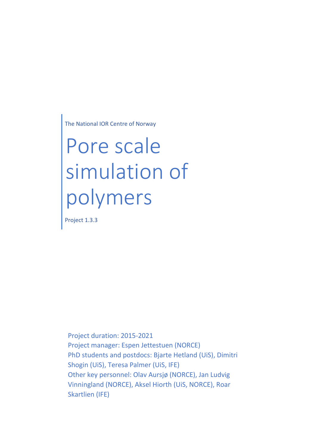The National IOR Centre of Norway

# Pore scale simulation of polymers

Project 1.3.3

Project duration: 2015-2021 Project manager: Espen Jettestuen (NORCE) PhD students and postdocs: Bjarte Hetland (UiS), Dimitri Shogin (UiS), Teresa Palmer (UiS, IFE) Other key personnel: Olav Aursjø (NORCE), Jan Ludvig Vinningland (NORCE), Aksel Hiorth (UiS, NORCE), Roar Skartlien (IFE)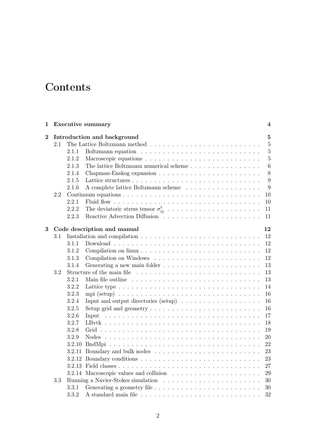# **Contents**

| 1              | <b>Executive summary</b> |                             |                                                                                    | 4              |  |
|----------------|--------------------------|-----------------------------|------------------------------------------------------------------------------------|----------------|--|
| $\overline{2}$ |                          | Introduction and background |                                                                                    |                |  |
|                | 2.1                      |                             |                                                                                    | $\overline{5}$ |  |
|                |                          | 2.1.1                       |                                                                                    | $\overline{5}$ |  |
|                |                          | 2.1.2                       |                                                                                    | $\overline{5}$ |  |
|                |                          | 2.1.3                       | The lattice Boltzmann numerical scheme $\ldots \ldots \ldots \ldots \ldots \ldots$ | $\,6\,$        |  |
|                |                          | 2.1.4                       |                                                                                    | 8              |  |
|                |                          | 2.1.5                       |                                                                                    | 9              |  |
|                |                          | 2.1.6                       | A complete lattice Boltzmann scheme                                                | 9              |  |
|                | $2.2\,$                  |                             |                                                                                    | 10             |  |
|                |                          | 2.2.1                       |                                                                                    | 10             |  |
|                |                          | 2.2.2                       |                                                                                    | 11             |  |
|                |                          | 2.2.3                       | Reactive Advection Diffusion                                                       | 11             |  |
| 3              |                          |                             | Code description and manual                                                        | 12             |  |
|                | 3.1                      |                             |                                                                                    | 12             |  |
|                |                          | 3.1.1                       |                                                                                    | 12             |  |
|                |                          | 3.1.2                       |                                                                                    | 12             |  |
|                |                          | 3.1.3                       |                                                                                    | 12             |  |
|                |                          | 3.1.4                       |                                                                                    | 13             |  |
|                | 3.2                      |                             |                                                                                    | 13             |  |
|                |                          | 3.2.1                       |                                                                                    | 13             |  |
|                |                          | 3.2.2                       |                                                                                    | 14             |  |
|                |                          | 3.2.3                       |                                                                                    | 16             |  |
|                |                          | 3.2.4                       | Input and output directories (setup) $\ldots \ldots \ldots \ldots \ldots \ldots$   | 16             |  |
|                |                          | 3.2.5                       |                                                                                    | 16             |  |
|                |                          | 3.2.6                       |                                                                                    | 17             |  |
|                |                          | 3.2.7                       |                                                                                    | 18             |  |
|                |                          | 3.2.8                       |                                                                                    | 19             |  |
|                |                          | 3.2.9                       |                                                                                    | $20\,$         |  |
|                |                          | 3.2.10                      |                                                                                    | 22             |  |
|                |                          |                             |                                                                                    | 23             |  |
|                |                          |                             |                                                                                    | 23             |  |
|                |                          |                             |                                                                                    | 27             |  |
|                |                          |                             |                                                                                    | 29             |  |
|                | $3.3\,$                  |                             |                                                                                    | 30             |  |
|                |                          | 3.3.1                       |                                                                                    | 30             |  |
|                |                          | 3.3.2                       |                                                                                    | 32             |  |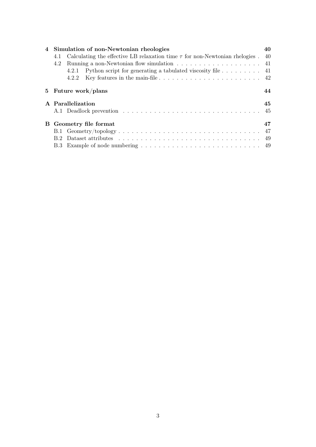| 4                                                                                                | Simulation of non-Newtonian rheologies                                                      |                                                                                                     |    |  |
|--------------------------------------------------------------------------------------------------|---------------------------------------------------------------------------------------------|-----------------------------------------------------------------------------------------------------|----|--|
|                                                                                                  | Calculating the effective LB relaxation time $\tau$ for non-Newtonian rhelogies . 40<br>4.1 |                                                                                                     |    |  |
| Running a non-Newtonian flow simulation $\dots \dots \dots \dots \dots \dots \dots \dots$<br>4.2 |                                                                                             |                                                                                                     |    |  |
|                                                                                                  |                                                                                             | Python script for generating a tabulated viscosity file $\dots \dots$ .<br>4.2.1                    |    |  |
|                                                                                                  |                                                                                             | Key features in the main-file $\ldots \ldots \ldots \ldots \ldots \ldots \ldots \ldots$ 42<br>4.2.2 |    |  |
| $5^{\circ}$                                                                                      |                                                                                             | Future work/plans                                                                                   | 44 |  |
|                                                                                                  | A Parallelization                                                                           |                                                                                                     |    |  |
|                                                                                                  |                                                                                             |                                                                                                     | 45 |  |
| B.                                                                                               | Geometry file format                                                                        |                                                                                                     | 47 |  |
|                                                                                                  |                                                                                             |                                                                                                     |    |  |
|                                                                                                  |                                                                                             |                                                                                                     |    |  |
|                                                                                                  |                                                                                             |                                                                                                     |    |  |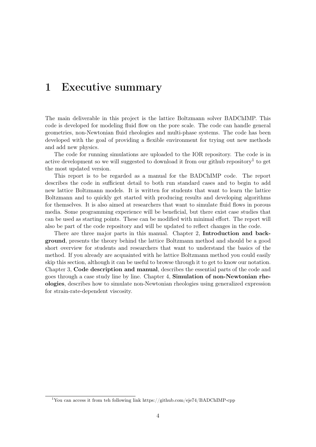# 1 Executive summary

The main deliverable in this project is the lattice Boltzmann solver BADChIMP. This code is developed for modeling fluid flow on the pore scale. The code can handle general geometries, non-Newtonian fluid rheologies and multi-phase systems. The code has been developed with the goal of providing a flexible environment for trying out new methods and add new physics.

The code for running simulations are uploaded to the IOR repository. The code is in active development so we will suggested to download it from our github repository<sup>1</sup> to get the most updated version.

This report is to be regarded as a manual for the BADChIMP code. The report describes the code in sufficient detail to both run standard cases and to begin to add new lattice Boltzmann models. It is written for students that want to learn the lattice Boltzmann and to quickly get started with producing results and developing algorithms for themselves. It is also aimed at researchers that want to simulate fluid flows in porous media. Some programming experience will be beneficial, but there exist case studies that can be used as starting points. These can be modified with minimal effort. The report will also be part of the code repository and will be updated to reflect changes in the code.

There are three major parts in this manual. Chapter 2, Introduction and background, presents the theory behind the lattice Boltzmann method and should be a good short overview for students and researchers that want to understand the basics of the method. If you already are acquainted with he lattice Boltzmann method you could easily skip this section, although it can be useful to browse through it to get to know our notation. Chapter 3, Code description and manual, describes the essential parts of the code and goes through a case study line by line. Chapter 4, Simulation of non-Newtonian rheologies, describes how to simulate non-Newtonian rheologies using generalized expression for strain-rate-dependent viscosity.

<sup>1</sup>You can access it from teh following link https://github.com/eje74/BADChIMP-cpp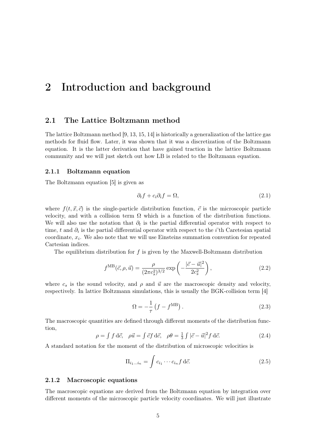# 2 Introduction and background

## 2.1 The Lattice Boltzmann method

The lattice Boltzmann method [9, 13, 15, 14] is historically a generalization of the lattice gas methods for fluid flow. Later, it was shown that it was a discretization of the Boltzmann equation. It is the latter derivation that have gained traction in the lattice Boltzmann community and we will just sketch out how LB is related to the Boltzmann equation.

#### 2.1.1 Boltzmann equation

The Boltzmann equation [5] is given as

$$
\partial_t f + c_i \partial_i f = \Omega,\tag{2.1}
$$

where  $f(t, \vec{x}, \vec{c})$  is the single-particle distribution function,  $\vec{c}$  is the microscopic particle velocity, and with a collision term  $\Omega$  which is a function of the distribution functions. We will also use the notation that  $\partial_t$  is the partial differential operator with respect to time, t and  $\partial_i$  is the partial differential operator with respect to the *i*'th Caretesian spatial coordinate,  $x_i$ . We also note that we will use Einsteins summation convention for repeated Cartesian indices.

The equilibrium distribution for f is given by the Maxwell-Boltzmann distribution

$$
f^{\rm MB}(\vec{c}, \rho, \vec{u}) = \frac{\rho}{(2\pi c_s^2)^{3/2}} \exp\left(-\frac{|\vec{c} - \vec{u}|^2}{2c_s^2}\right),\tag{2.2}
$$

where  $c_s$  is the sound velocity, and  $\rho$  and  $\vec{u}$  are the macroscopic density and velocity, respectively. In lattice Boltzmann simulations, this is usually the BGK-collision term [4]

$$
\Omega = -\frac{1}{\tau} \left( f - f^{\text{MB}} \right). \tag{2.3}
$$

The macroscopic quantities are defined through different moments of the distribution function,

$$
\rho = \int f \, d\vec{c}, \quad \rho \vec{u} = \int \vec{c}f \, d\vec{c}, \quad \rho \theta = \frac{1}{3} \int |\vec{c} - \vec{u}|^2 f \, d\vec{c}.
$$
 (2.4)

A standard notation for the moment of the distribution of microscopic velocities is

$$
\Pi_{i_1\ldots i_n} = \int c_{i_1} \cdots c_{i_n} f \, d\vec{c}.\tag{2.5}
$$

#### 2.1.2 Macroscopic equations

The macroscopic equations are derived from the Boltzmann equation by integration over different moments of the microscopic particle velocity coordinates. We will just illustrate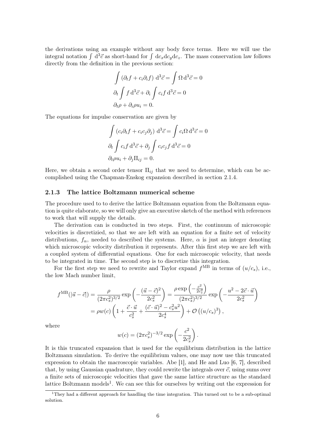the derivations using an example without any body force terms. Here we will use the integral notation  $\int d^3\vec{c}$  as short-hand for  $\int dc_xdc_ydc_z$ . The mass conservation law follows directly from the definition in the previous section:

$$
\int (\partial_t f + c_i \partial_i f) d^3 \vec{c} = \int \Omega d^3 \vec{c} = 0
$$
  

$$
\partial_t \int f d^3 \vec{c} + \partial_i \int c_i f d^3 \vec{c} = 0
$$
  

$$
\partial_t \rho + \partial_i \rho u_i = 0.
$$

The equations for impulse conservation are given by

$$
\int (c_i \partial_t f + c_i c_j \partial_j) d^3 \vec{c} = \int c_i \Omega d^3 \vec{c} = 0
$$

$$
\partial_t \int c_i f d^3 \vec{c} + \partial_j \int c_i c_j f d^3 \vec{c} = 0
$$

$$
\partial_t \rho u_i + \partial_j \Pi_{ij} = 0.
$$

Here, we obtain a second order tensor  $\Pi_{ij}$  that we need to determine, which can be accomplished using the Chapman-Enskog expansion described in section 2.1.4.

#### 2.1.3 The lattice Boltzmann numerical scheme

The procedure used to to derive the lattice Boltzmann equation from the Boltzmann equation is quite elaborate, so we will only give an executive sketch of the method with references to work that will supply the details.

The derivation can is conducted in two steps. First, the continuum of microscopic velocities is discretizied, so that we are left with an equation for a finite set of velocity distributions,  $f_{\alpha}$ , needed to described the systems. Here,  $\alpha$  is just an integer denoting which microscopic velocity distribution it represents. After this first step we are left with a coupled system of differential equations. One for each microscopic velocity, that needs to be integrated in time. The second step is to discretize this integration.

For the first step we need to rewrite and Taylor expand  $f^{\text{MB}}$  in terms of  $(u/c_s)$ , i.e., the low Mach number limit,

$$
f^{\text{MB}}(|\vec{u} - \vec{c}|) = \frac{\rho}{(2\pi c_s^2)^{3/2}} \exp\left(-\frac{(\vec{u} - \vec{c})^2}{2c_s^2}\right) = \frac{\rho \exp\left(-\frac{c^2}{2c_s^2}\right)}{(2\pi c_s^2)^{3/2}} \exp\left(-\frac{u^2 - 2\vec{c} \cdot \vec{u}}{2c_s^2}\right)
$$
  
=  $\rho w(c) \left(1 + \frac{\vec{c} \cdot \vec{u}}{c_s^2} + \frac{(\vec{c} \cdot \vec{u})^2 - c_s^2 u^2}{2c_s^4}\right) + \mathcal{O}\left((u/c_s)^3\right),$ 

where

$$
w(c) = (2\pi c_s^2)^{-3/2} \exp\left(-\frac{c^2}{2c_s^2}\right).
$$

It is this truncated expansion that is used for the equilibrium distribution in the lattice Boltzmann simulation. To derive the equilibrium values, one may now use this truncated expression to obtain the macroscopic variables. Abe [1], and He and Luo [6, 7], described that, by using Gaussian quadrature, they could rewrite the integrals over  $\vec{c}$ , using sums over a finite sets of microscopic velocities that gave the same lattice structure as the standard lattice Boltzmann models<sup>1</sup>. We can see this for ourselves by writing out the expression for

<sup>&</sup>lt;sup>1</sup>They had a different approach for handling the time integration. This turned out to be a sub-optimal solution.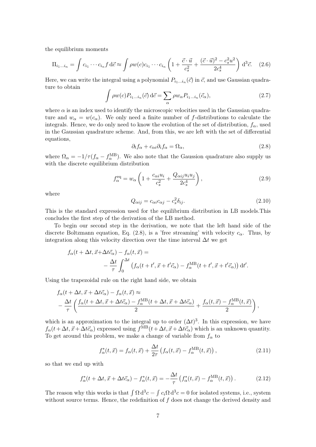the equilibrium moments

$$
\Pi_{i_1...i_n} = \int c_{i_1} \cdots c_{i_n} f \, d\vec{c} \approx \int \rho w(c) c_{i_1} \cdots c_{i_n} \left( 1 + \frac{\vec{c} \cdot \vec{u}}{c_s^2} + \frac{(\vec{c} \cdot \vec{u})^2 - c_s^2 u^2}{2c_s^4} \right) d^3 \vec{c}.
$$
 (2.6)

Here, we can write the integral using a polynomial  $P_{i_1...i_n}(\vec{c})$  in  $\vec{c}$ , and use Gaussian quadrature to obtain

$$
\int \rho w(c) P_{i_1...i_n}(\vec{c}) d\vec{c} = \sum_{\alpha} \rho w_{\alpha} P_{i_1...i_n}(\vec{c}_{\alpha}), \qquad (2.7)
$$

where  $\alpha$  is an index used to identify the microscopic velocities used in the Gaussian quadrature and  $w_{\alpha} = w(c_{\alpha})$ . We only need a finite number of f-distributions to calculate the integrals. Hence, we do only need to know the evolution of the set of distribution,  $f_{\alpha}$ , used in the Gaussian quadrature scheme. And, from this, we are left with the set of differential equations,

$$
\partial_t f_\alpha + c_{\alpha i} \partial_i f_\alpha = \Omega_\alpha,\tag{2.8}
$$

where  $\Omega_{\alpha} = -1/\tau (f_{\alpha} - f_{\alpha}^{\text{MB}})$ . We also note that the Gaussion quadrature also supply us with the discrete equilibrium distribution

$$
f_{\alpha}^{\text{eq}} = w_{\alpha} \left( 1 + \frac{c_{\alpha i} u_i}{c_s^2} + \frac{Q_{\alpha ij} u_i u_j}{2c_s^4} \right),\tag{2.9}
$$

where

$$
Q_{\alpha ij} = c_{\alpha i} c_{\alpha j} - c_s^2 \delta_{ij}.
$$
\n(2.10)

This is the standard expression used for the equilibrium distribution in LB models.This concludes the first step of the derivation of the LB method.

To begin our second step in the derivation, we note that the left hand side of the discrete Boltzmann equation, Eq. (2.8), is a 'free streaming' with velocity  $c_{\alpha}$ . Thus, by integration along this velocity direction over the time interval  $\Delta t$  we get

$$
f_{\alpha}(t + \Delta t, \vec{x} + \Delta t \vec{c}_{\alpha}) - f_{\alpha}(t, \vec{x}) =
$$
  

$$
- \frac{\Delta t}{\tau} \int_{0}^{\Delta t} (f_{\alpha}(t + t', \vec{x} + t' \vec{c}_{\alpha}) - f_{\alpha}^{\text{MB}}(t + t', \vec{x} + t' \vec{c}_{\alpha})) dt'.
$$

Using the trapezoidal rule on the right hand side, we obtain

$$
f_{\alpha}(t + \Delta t, \vec{x} + \Delta t \vec{c}_{\alpha}) - f_{\alpha}(t, \vec{x}) \approx -\frac{\Delta t}{\tau} \left( \frac{f_{\alpha}(t + \Delta t, \vec{x} + \Delta t \vec{c}_{\alpha}) - f_{\alpha}^{\text{MB}}(t + \Delta t, \vec{x} + \Delta t \vec{c}_{\alpha})}{2} + \frac{f_{\alpha}(t, \vec{x}) - f_{\alpha}^{\text{MB}}(t, \vec{x})}{2} \right),
$$

which is an approximation to the integral up to order  $(\Delta t)^3$ . In this expression, we have  $f_{\alpha}(t+\Delta t, \vec{x}+\Delta t\vec{c}_{\alpha})$  expressed using  $f^{\text{MB}}(t+\Delta t, \vec{x}+\Delta t\vec{c}_{\alpha})$  which is an unknown quantity. To get around this problem, we make a change of variable from  $f_{\alpha}$  to

$$
f_{\alpha}^*(t, \vec{x}) = f_{\alpha}(t, \vec{x}) + \frac{\Delta t}{2\tau} \left( f_{\alpha}(t, \vec{x}) - f_{\alpha}^{\text{MB}}(t, \vec{x}) \right), \qquad (2.11)
$$

so that we end up with

$$
f_{\alpha}^*(t + \Delta t, \vec{x} + \Delta t \vec{c}_{\alpha}) - f_{\alpha}^*(t, \vec{x}) = -\frac{\Delta t}{\tau} \left( f_{\alpha}^*(t, \vec{x}) - f_{\alpha}^{\text{MB}}(t, \vec{x}) \right). \tag{2.12}
$$

The reason why this works is that  $\int \Omega d^3 c = \int c_i \Omega d^3 c = 0$  for isolated systems, i.e., system without source terms. Hence, the redefinition of  $f$  does not change the derived density and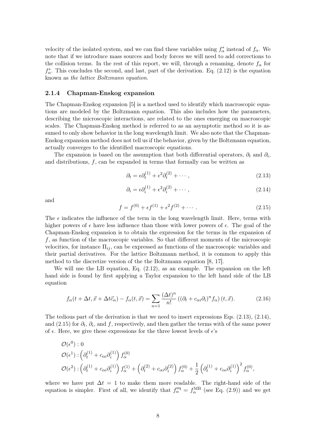velocity of the isolated system, and we can find these variables using  $f^*_{\alpha}$  instead of  $f_{\alpha}$ . We note that if we introduce mass sources and body forces we will need to add corrections to the collision terms. In the rest of this report, we will, through a renaming, denote  $f_{\alpha}$  for  $f_{\alpha}^*$ . This concludes the second, and last, part of the derivation. Eq. (2.12) is the equation known as the lattice Boltzmann equation.

#### 2.1.4 Chapman-Enskog expansion

The Chapman-Enskog expansion [5] is a method used to identify which macroscopic equations are modeled by the Boltzmann equation. This also includes how the parameters, describing the microscopic interactions, are related to the ones emerging on macroscopic scales. The Chapman-Enskog method is referred to as an asymptotic method so it is assumed to only show behavior in the long wavelength limit. We also note that the Chapman-Enskog expansion method does not tell us if the behavior, given by the Boltzmann equation, actually converges to the identified macroscopic equations.

The expansion is based on the assumption that both differential operators,  $\partial_t$  and  $\partial_i$ , and distributions,  $f$ , can be expanded in terms that formally can be written as

$$
\partial_t = \epsilon \partial_t^{(1)} + \epsilon^2 \partial_t^{(2)} + \cdots, \qquad (2.13)
$$

$$
\partial_i = \epsilon \partial_i^{(1)} + \epsilon^2 \partial_i^{(2)} + \cdots, \qquad (2.14)
$$

and

$$
f = f^{(0)} + \epsilon f^{(1)} + \epsilon^2 f^{(2)} + \cdots
$$
 (2.15)

The  $\epsilon$  indicates the influence of the term in the long wavelength limit. Here, terms with higher powers of  $\epsilon$  have less influence than those with lower powers of  $\epsilon$ . The goal of the Chapman-Enskog expansion is to obtain the expression for the terms in the expansion of f, as function of the macroscopic variables. So that different moments of the microscopic velocities, for instance  $\Pi_{ij}$ , can be expressed as functions of the macroscopic variables and their partial derivatives. For the lattice Boltzmann method, it is common to apply this method to the discretize version of the the Boltzmann equation [8, 17].

We will use the LB equation, Eq. (2.12), as an example. The expansion on the left hand side is found by first applying a Taylor expansion to the left hand side of the LB equation

$$
f_{\alpha}(t + \Delta t, \vec{x} + \Delta t \vec{c}_{\alpha}) - f_{\alpha}(t, \vec{x}) = \sum_{n=1}^{\infty} \frac{(\Delta t)^n}{n!} \left( (\partial_t + c_{\alpha i} \partial_i)^n f_{\alpha} \right)(t, \vec{x}). \tag{2.16}
$$

The tedious part of the derivation is that we need to insert expressions Eqs.  $(2.13)$ ,  $(2.14)$ , and (2.15) for  $\partial_t$ ,  $\partial_i$ , and f, respectively, and then gather the terms with of the same power of  $\epsilon$ . Here, we give these expressions for the three lowest levels of  $\epsilon$ 's

$$
\mathcal{O}(\epsilon^0): 0
$$
  
\n
$$
\mathcal{O}(\epsilon^1): \left(\partial_t^{(1)} + c_{\alpha i}\partial_i^{(1)}\right) f_{\alpha}^{(0)}
$$
  
\n
$$
\mathcal{O}(\epsilon^2): \left(\partial_t^{(1)} + c_{\alpha i}\partial_i^{(1)}\right) f_{\alpha}^{(1)} + \left(\partial_t^{(2)} + c_{\alpha i}\partial_i^{(2)}\right) f_{\alpha}^{(0)} + \frac{1}{2} \left(\partial_t^{(1)} + c_{\alpha i}\partial_i^{(1)}\right)^2 f_{\alpha}^{(0)},
$$

where we have put  $\Delta t = 1$  to make them more readable. The right-hand side of the equation is simpler. First of all, we identify that  $f_{\alpha}^{\text{eq}} = f_{\alpha}^{\text{MB}}$  (see Eq. (2.9)) and we get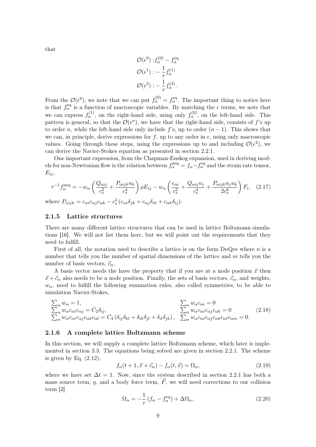that

$$
\mathcal{O}(\epsilon^0) : f_{\alpha}^{(0)} - f_{\alpha}^{\text{eq}}
$$

$$
\mathcal{O}(\epsilon^1) : -\frac{1}{\tau} f_{\alpha}^{(1)}
$$

$$
\mathcal{O}(\epsilon^2) : -\frac{1}{\tau} f_{\alpha}^{(2)}.
$$

From the  $\mathcal{O}(\epsilon^0)$ , we note that we can put  $f_\alpha^{(0)} = f_\alpha^{\text{eq}}$ . The important thing to notice here is that  $f_{\alpha}^{\text{eq}}$  is a function of macroscopic variables. By matching the  $\epsilon$  terms, we note that we can express  $f_\alpha^{(1)}$ , on the right-hand side, using only  $f_\alpha^{(0)}$ , on the left-hand side. This pattern is general, so that the  $\mathcal{O}(\epsilon^n)$ , we have that the right-hand side, consists of f's up to order n, while the left-hand side only include f's, up to order  $(n - 1)$ . This shows that we can, in principle, derive expressions for f, up to any order in  $\epsilon$ , using only macroscopic values. Going through these steps, using the expressions up to and including  $\mathcal{O}(\epsilon^2)$ , we can derive the Navier-Stokes equation as presented in section 2.2.1.

One important expression, from the Chapman-Enskog expansion, used in deriving models for non-Newtonian flow is the relation between  $f_{\alpha}^{\text{neq}} = f_{\alpha} - f_{\alpha}^{\text{eq}}$  and the strain rate tensor,  $E_{ij}$ 

$$
\tau^{-1} f_{\alpha}^{\text{neq}} = -w_{\alpha} \left( \frac{Q_{\alpha ij}}{c_s^2} + \frac{P_{\alpha ijk} u_k}{c_s^4} \right) \rho E_{ij} - w_{\alpha} \left( \frac{c_{\alpha i}}{c_s^2} + \frac{Q_{\alpha ij} u_j}{c_s^4} + \frac{P_{\alpha ijk} u_j u_k}{2c_s^6} \right) F_i, \quad (2.17)
$$

where  $P_{\alpha ijk} = c_{\alpha i} c_{\alpha j} c_{\alpha k} - c_s^2 (c_{\alpha i} \delta_{jk} + c_{\alpha j} \delta_{ik} + c_{\alpha k} \delta_{ij}).$ 

#### 2.1.5 Lattice structures

There are many different lattice structures that can be used in lattice Boltzmann simulations [16]. We will not list them here, but we will point out the requirements that they need to fulfill.

First of all, the notation used to describe a lattice is on the form  $DnQm$  where n is a number that tells you the number of spatial dimensions of the lattice and m tells you the number of basis vectors,  $\vec{c}_{\alpha}$ .

A basis vector needs the have the property that if you are at a node position  $\vec{x}$  then  $\vec{x}+\vec{c}_{\alpha}$  also needs to be a node position. Finally, the sets of basis vectors,  $\vec{c}_{\alpha}$ , and weights,  $w_{\alpha}$ , need to fulfill the following summation rules, also called symmetries, to be able to simulation Navier-Stokes,

$$
\sum_{\alpha} w_{\alpha} = 1, \qquad \sum_{\alpha} w_{\alpha} c_{\alpha i} = 0
$$
\n
$$
\sum_{\alpha} w_{\alpha} c_{\alpha i} c_{\alpha j} = C_2 \delta_{ij}, \qquad \sum_{\alpha} w_{\alpha} c_{\alpha i} c_{\alpha j} c_{\alpha k} = 0 \qquad (2.18)
$$
\n
$$
\sum_{\alpha} w_{\alpha} c_{\alpha i} c_{\alpha j} c_{\alpha k} c_{\alpha l} = C_4 (\delta_{ij} \delta_{kl} + \delta_{ik} \delta_{jl} + \delta_{il} \delta_{jk}), \qquad \sum_{\alpha} w_{\alpha} c_{\alpha i} c_{\alpha j} c_{\alpha k} c_{\alpha l} c_{\alpha m} = 0.
$$

#### 2.1.6 A complete lattice Boltzmann scheme

In this section, we will supply a complete lattice Boltzmann scheme, which later is implemented in section 3.3. The equations being solved are given in section 2.2.1. The scheme is given by Eq.  $(2.12)$ ,

$$
f_{\alpha}(t+1, \vec{x} + \vec{c}_{\alpha}) - f_{\alpha}(t, \vec{x}) = \Omega_{\alpha}, \qquad (2.19)
$$

where we have set  $\Delta t = 1$ . Now, since the system described in section 2.2.1 has both a mass source term, q, and a body force term,  $\vec{F}$ , we will need corrections to our collision term [2]

$$
\Omega_{\alpha} = -\frac{1}{\tau} \left( f_{\alpha} - f_{\alpha}^{\text{eq}} \right) + \Delta \Omega_{\alpha}, \tag{2.20}
$$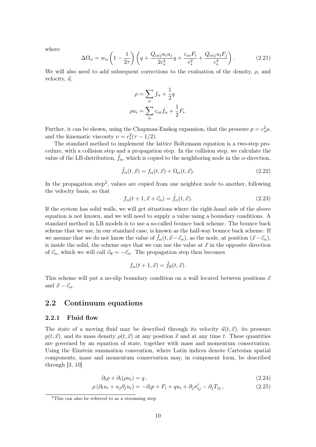where

$$
\Delta\Omega_{\alpha} = w_{\alpha} \left( 1 - \frac{1}{2\tau} \right) \left( q + \frac{Q_{\alpha ij} u_i u_j}{2c_s^4} q + \frac{c_{\alpha i} F_i}{c_s^2} + \frac{Q_{\alpha ij} u_i F_j}{c_s^4} \right). \tag{2.21}
$$

We will also need to add subsequent corrections to the evaluation of the density,  $\rho$ , and velocity,  $\vec{u}$ ,

$$
\rho = \sum_{\alpha} f_{\alpha} + \frac{1}{2}q
$$

$$
\rho u_i = \sum_{\alpha} c_{\alpha i} f_{\alpha} + \frac{1}{2} F_i.
$$

Further, it can be shown, using the Chapman-Enskog expansion, that the pressure  $p = c_s^2 \rho$ , and the kinematic viscosity  $\nu = c_s^2(\tau - 1/2)$ .

The standard method to implement the lattice Boltzmann equation is a two-step procedure, with a collision step and a propagation step. In the collision step, we calculate the value of the LB distribution,  $\tilde{f}_{\alpha}$ , which is copied to the neighboring node in the  $\alpha$ -direction,

$$
\tilde{f}_{\alpha}(t,\vec{x}) = f_{\alpha}(t,\vec{x}) + \Omega_{\alpha}(t,\vec{x}).
$$
\n(2.22)

In the propagation step<sup>2</sup>, values are copied from one neighbor node to another, following the velocity basis, so that

$$
f_{\alpha}(t+1, \vec{x} + \vec{c}_{\alpha}) = \tilde{f}_{\alpha}(t, \vec{x}). \tag{2.23}
$$

If the system has solid walls, we will get situations where the right-hand side of the above equation is not known, and we will need to supply a value using a boundary conditions. A standard method in LB models is to use a so-called bounce back scheme. The bounce back scheme that we use, in our standard case, is known as the half-way bounce back scheme. If we assume that we do not know the value of  $\tilde{f}_{\alpha}(t, \vec{x}-\vec{c}_{\alpha})$ , as the node, at position  $(\vec{x}-\vec{c}_{\alpha})$ , is inside the solid, the scheme says that we can use the value at  $\vec{x}$  in the opposite direction of  $\vec{c}_{\alpha}$ , which we will call  $\vec{c}_{\overline{\alpha}} = -\vec{c}_{\alpha}$ . The propagation step then becomes

$$
f_{\alpha}(t+1, \vec{x}) = \tilde{f}_{\overline{\alpha}}(t, \vec{x}).
$$

This scheme will put a no-slip boundary condition on a wall located between positions  $\vec{x}$ and  $\vec{x} - \vec{c}_{\alpha}$ .

#### 2.2 Continuum equations

#### 2.2.1 Fluid flow

The state of a moving fluid may be described through its velocity  $\vec{u}(t, \vec{x})$ , its pressure  $p(t, \vec{x})$ , and its mass density  $\rho(t, \vec{x})$  at any position  $\vec{x}$  and at any time t. These quantities are governed by an equation of state, together with mass and momentum conservation. Using the Einstein summation convention, where Latin indices denote Cartesian spatial components, mass and momentum conservation may, in component form, be described through [3, 10]

$$
\partial_t \rho + \partial_i (\rho u_i) = q \,, \tag{2.24}
$$

$$
\rho \left( \partial_t u_i + u_j \partial_j u_i \right) = -\partial_i p + F_i + q u_i + \partial_j \sigma'_{ij} - \partial_j T_{ij}, \qquad (2.25)
$$

<sup>&</sup>lt;sup>2</sup>This can also be referred to as a streaming step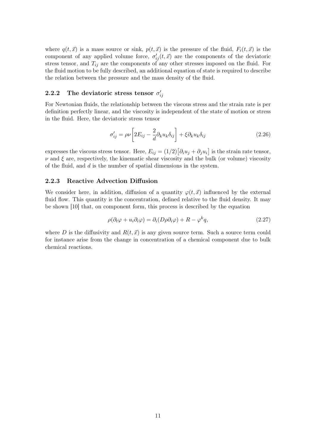where  $q(t, \vec{x})$  is a mass source or sink,  $p(t, \vec{x})$  is the pressure of the fluid,  $F_i(t, \vec{x})$  is the component of any applied volume force,  $\sigma'_{ij}(t, \vec{x})$  are the components of the deviatoric stress tensor, and  $T_{ij}$  are the components of any other stresses imposed on the fluid. For the fluid motion to be fully described, an additional equation of state is required to describe the relation between the pressure and the mass density of the fluid.

# 2.2.2 The deviatoric stress tensor  $\sigma'_{ij}$

For Newtonian fluids, the relationship between the viscous stress and the strain rate is per definition perfectly linear, and the viscosity is independent of the state of motion or stress in the fluid. Here, the deviatoric stress tensor

$$
\sigma'_{ij} = \rho \nu \left[ 2E_{ij} - \frac{2}{d} \partial_k u_k \delta_{ij} \right] + \xi \partial_k u_k \delta_{ij}
$$
\n(2.26)

expresses the viscous stress tensor. Here,  $E_{ij} = (1/2) [\partial_i u_j + \partial_j u_i]$  is the strain rate tensor,  $\nu$  and  $\xi$  are, respectively, the kinematic shear viscosity and the bulk (or volume) viscosity of the fluid, and d is the number of spatial dimensions in the system.

#### 2.2.3 Reactive Advection Diffusion

We consider here, in addition, diffusion of a quantity  $\varphi(t, \vec{x})$  influenced by the external fluid flow. This quantity is the concentration, defined relative to the fluid density. It may be shown [10] that, on component form, this process is described by the equation

$$
\rho(\partial_t \varphi + u_i \partial_i \varphi) = \partial_i (D\rho \partial_i \varphi) + R - \varphi^k q, \qquad (2.27)
$$

where D is the diffusivity and  $R(t, \vec{x})$  is any given source term. Such a source term could for instance arise from the change in concentration of a chemical component due to bulk chemical reactions.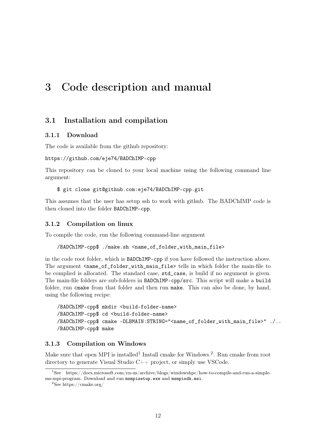# 3 Code description and manual

## 3.1 Installation and compilation

#### 3.1.1 Download

The code is available from the github repository:

```
https://github.com/eje74/BADChIMP-cpp
```
This repository can be cloned to your local machine using the following command line argument:

\$ git clone git@github.com:eje74/BADChIMP-cpp.git

This assumes that the user has setup ssh to work with github. The BADChIMP code is then cloned into the folder BADChIMP-cpp.

#### 3.1.2 Compilation on linux

To compile the code, run the following command-line argument

```
/BADChIMP-cpp$ ./make.sh <name_of_folder_with_main_file>
```
in the code root folder, which is BADChIMP-cpp if you have followed the instruction above. The argument <name\_of\_folder\_with\_main\_file> tells in which folder the main-file to be complied is allocated. The standard case, std\_case, is build if no argument is given. The main-file folders are sub-folders in BADChIMP-cpp/src. This script will make a build folder, run cmake from that folder and then run make. This can also be done, by hand, using the following recipe:

```
/BADChIMP-cpp$ mkdir <build-folder-name>
/BADChIMP-cpp$ cd <build-folder-name>
/BADChIMP-cpp$ cmake -DLBMAIN:STRING="<name_of_folder_with_main_file>" ./..
/BADChIMP-cpp$ make
```
#### 3.1.3 Compilation on Windows

Make sure that open MPI is installed<sup>1</sup> Install cmake for Windows.<sup>2</sup>. Run cmake from root directory to generate Visual Studio C++ project, or simply use VSCode.

<sup>1</sup>See https://docs.microsoft.com/en-us/archive/blogs/windowshpc/how-to-compile-and-run-a-simplems-mpi-program. Download and run msmpisetup.exe and msmpisdk.msi.

<sup>2</sup>See https://cmake.org/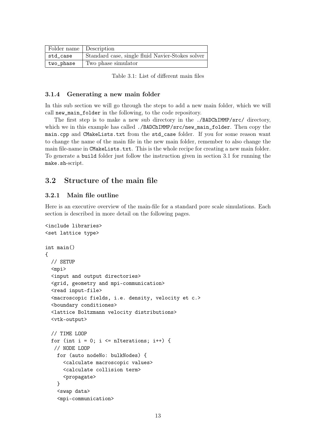| Folder name Description |                                                  |
|-------------------------|--------------------------------------------------|
| std_case                | Standard case, single fluid Navier-Stokes solver |
| two_phase               | Two phase simulator                              |

Table 3.1: List of different main files

#### 3.1.4 Generating a new main folder

In this sub section we will go through the steps to add a new main folder, which we will call new\_main\_folder in the following, to the code repository.

The first step is to make a new sub directory in the ./BADChIMMP/src/ directory, which we in this example has called ./BADChIMMP/src/new\_main\_folder. Then copy the main.cpp and CMakeLists.txt from the std\_case folder. If you for some reason want to change the name of the main file in the new main folder, remember to also change the main file-name in CMakeLists.txt. This is the whole recipe for creating a new main folder. To generate a build folder just follow the instruction given in section 3.1 for running the make.sh-script.

## 3.2 Structure of the main file

#### 3.2.1 Main file outline

Here is an executive overview of the main-file for a standard pore scale simulations. Each section is described in more detail on the following pages.

```
<include libraries>
<set lattice type>
int main()
{
 // SETUP
  <mpi>
  <input and output directories>
  <grid, geometry and mpi-communication>
  <read input-file>
  <macroscopic fields, i.e. density, velocity et c.>
  <boundary conditiones>
  <lattice Boltzmann velocity distributions>
  <vtk-output>
  // TIME LOOP
 for (int i = 0; i \le nIterations; i++) {
  // NODE LOOP
    for (auto nodeNo: bulkNodes) {
      <calculate macroscopic values>
      <calculate collision term>
      <propagate>
    }
    <swap data>
    <mpi-communication>
```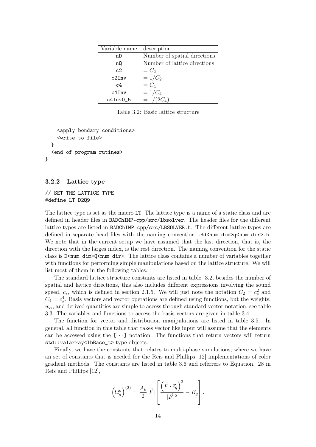| Variable name | description                  |
|---------------|------------------------------|
| nD            | Number of spatial directions |
| nQ            | Number of lattice directions |
| c2            | $=C_2$                       |
| c2Inv         | $=1/C_2$                     |
| c4            | $=C_4$                       |
| c4Inv         | $=1/C_4$                     |
| c4Inv05       | $=1/(2C_4)$                  |

Table 3.2: Basic lattice structure

```
<apply bondary conditions>
    <write to file>
  }
  <end of program rutines>
}
```
#### 3.2.2 Lattice type

// SET THE LATTICE TYPE #define LT D2Q9

The lattice type is set as the macro LT. The lattice type is a name of a static class and are defined in header files in BADChIMP-cpp/src/lbsolver. The header files for the different lattice types are listed in BADChIMP-cpp/src/LBSOLVER.h. The different lattice types are defined in separate head files with the naming convention LBd $\leq$ num dim $\geq$ q $\leq$ num dir $\geq$ .h. We note that in the current setup we have assumed that the last direction, that is, the direction with the larges index, is the rest direction. The naming convention for the static class is D<num dim>Q<num dir>. The lattice class contains a number of variables together with functions for performing simple manipulations based on the lattice structure. We will list most of them in the following tables.

The standard lattice structure constants are listed in table 3.2, besides the number of spatial and lattice directions, this also includes different expressions involving the sound speed,  $c_s$ , which is defined in section 2.1.5. We will just note the notation  $C_2 = c_s^2$  and  $C_4 = c_s^4$ . Basis vectors and vector operations are defined using functions, but the weights,  $w_{\alpha}$ , and derived quantities are simple to access through standard vector notation, see table 3.3. The variables and functions to access the basis vectors are given in table 3.4.

The function for vector and distribution manipulations are listed in table 3.5. In general, all function in this table that takes vector like input will assume that the elements can be accessed using the  $[\cdots]$  notation. The functions that return vectors will return std::valarray<lbBase\_t> type objects.

Finally, we have the constants that relates to multi-phase simulations, where we have an set of constants that is needed for the Reis and Phillips [12] implementations of color gradient methods. The constants are listed in table 3.6 and referrers to Equation. 28 in Reis and Phillips [12],

$$
\left(\Omega_q^k\right)^{(2)} = \frac{A_k}{2} |\vec{F}| \left[\frac{\left(\vec{F} \cdot \vec{c}_q\right)^2}{|\vec{F}|^2} - B_q\right].
$$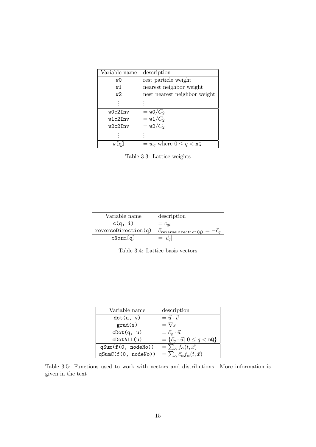| Variable name | description                  |
|---------------|------------------------------|
| w0            | rest particle weight         |
| w 1           | nearest neighbor weight      |
| w2            | nest nearest neighbor weight |
|               |                              |
| w0c2Inv       | $=$ w0/ $C_2$                |
| w1c2Tnv       | $=$ w1/ $C_2$                |
| w2c2Tnv       | $=w2/C_2$                    |
|               |                              |
| w La J        | $=w_q$ where $0 \leq q < nQ$ |

Table 3.3: Lattice weights

| Variable name       | description                     |
|---------------------|---------------------------------|
| c(q, i)             | $=c_{ai}$                       |
| reverseDirection(q) | $C_{\texttt{reversion(q)}} = -$ |
| cNorm[q]            | $=  \vec{c}_a $                 |

Table 3.4: Lattice basis vectors

| Variable name         | description                                               |
|-----------------------|-----------------------------------------------------------|
| dot(u, v)             | $=\vec{u}\cdot\vec{v}$                                    |
| grad(s)               | $=\nabla s$                                               |
| cDot(q, u)            | $=\vec{c}_q\cdot\vec{u}$                                  |
| $\texttt{cDotAll}(u)$ | $= \{\vec{c}_q \cdot \vec{u}   0 \leq q < n\mathbb{Q}\}\$ |
| qSum(f(0, nodeNo))    | $=\sum_{\alpha} f_{\alpha}(t, \vec{x})$                   |
| qSumC(f(0, nodeNo))   | $=\sum_{\alpha}\vec{c}_{\alpha}f_{\alpha}(t,\vec{x})$     |

Table 3.5: Functions used to work with vectors and distributions. More information is given in the text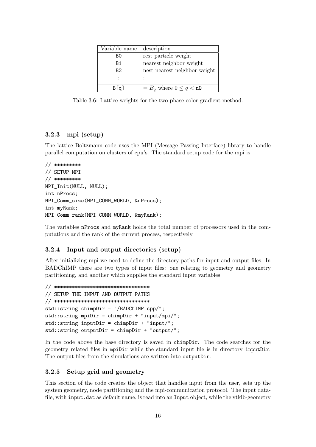| Variable name  | description                  |
|----------------|------------------------------|
| B0             | rest particle weight         |
| B1             | nearest neighbor weight      |
| B <sub>2</sub> | nest nearest neighbor weight |
|                | ٠<br>٠                       |
|                | $B_q$ where $0 \leq q < nQ$  |

Table 3.6: Lattice weights for the two phase color gradient method.

## 3.2.3 mpi (setup)

The lattice Boltzmann code uses the MPI (Message Passing Interface) library to handle parallel computation on clusters of cpu's. The standard setup code for the mpi is

```
// *********
// SETUP MPI
// *********
MPI_Init(NULL, NULL);
int nProcs;
MPI_Comm_size(MPI_COMM_WORLD, &nProcs);
int myRank;
MPI_Comm_rank(MPI_COMM_WORLD, &myRank);
```
The variables nProcs and myRank holds the total number of processors used in the computations and the rank of the current process, respectively.

#### 3.2.4 Input and output directories (setup)

After initializing mpi we need to define the directory paths for input and output files. In BADChIMP there are two types of input files: one relating to geometry and geometry partitioning, and another which supplies the standard input variables.

```
// ********************************
// SETUP THE INPUT AND OUTPUT PATHS
// ********************************
std::string chimpDir = "/BADChIMP-cpp/";
std::string mpiDir = chimpDir + "input/mpi/";
std::string inputDir = chimpDir + "input/";
std::string outputDir = chimpDir + "output/";
```
In the code above the base directory is saved in chimpDir. The code searches for the geometry related files in mpiDir while the standard input file is in directory inputDir. The output files from the simulations are written into outputDir.

#### 3.2.5 Setup grid and geometry

This section of the code creates the object that handles input from the user, sets up the system geometry, node partitioning and the mpi-communication protocol. The input datafile, with input.dat as default name, is read into an Input object, while the vtklb-geometry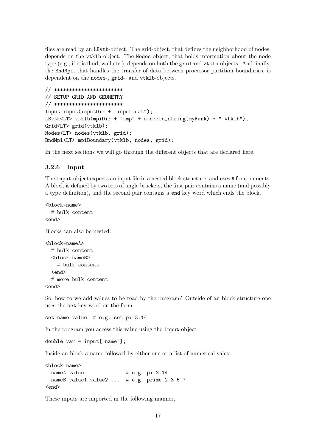files are read by an LBvtk-object. The grid-object, that defines the neighborhood of nodes, depends on the vtklb object. The Nodes-object, that holds information about the node type (e.g., if it is fluid, wall etc.), depends on both the grid and vtklb-objects. And finally, the BndMpi, that handles the transfer of data between processor partition boundaries, is dependent on the nodes-, grid-, and vtklb-objects.

```
// ***********************
// SETUP GRID AND GEOMETRY
// ***********************
Input input(inputDir + "input.dat");
LBvtk<LT> vtklb(mpiDir + "tmp" + std::to_string(myRank) + ".vtklb");
Grid<LT> grid(vtklb);
Nodes<LT> nodes(vtklb, grid);
BndMpi<LT> mpiBoundary(vtklb, nodes, grid);
```
In the next sections we will go through the different objects that are declared here.

#### 3.2.6 Input

The Input-object expects an input file in a nested block structure, and uses # for comments. A block is defined by two sets of angle brackets, the first pair contains a name (and possibly a type definition), and the second pair contains a end key word which ends the block.

```
<block-name>
  # bulk content
<end>
```
Blocks can also be nested:

```
<block-nameA>
 # bulk content
 <block-nameB>
    # bulk content
 <end>
 # more bulk content
<end>
```
So, how to we add values to be read by the program? Outside of an block structure one uses the set key-word on the form

set name value # e.g. set pi 3.14

In the program you access this value using the input-object

```
double var = input["name"]:
```
Inside an block a name followed by either one or a list of numerical vales:

```
<block-name>
 nameA value # e.g. pi 3.14
 nameB value1 value2 ... # e.g. prime 2 3 5 7
<end>
```
These inputs are imported in the following manner,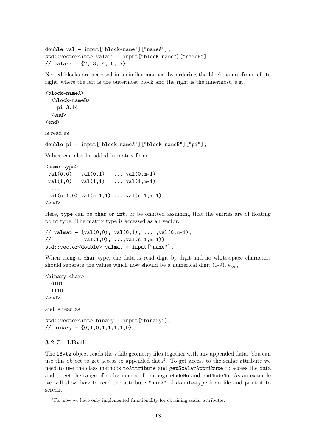```
double val = input["block-name"]["nameA"];
std::vector<int> valarr = input["block-name"]["nameB"];
// valarr = \{2, 3, 4, 5, 7\}
```
Nested blocks are accessed in a similar manner, by ordering the block names from left to right, where the left is the outermost block and the right is the innermost, e.g.,

```
<block-nameA>
  <block-nameB>
    pi 3.14
  <end>
<end>
```
is read as

```
double pi = input["block-nameA"]["block-nameB"]["pi"];
```
Values can also be added in matrix form

```
<name type>
val(0,0) val(0,1) ... val(0,m-1)val(1,0) val(1,1) ... val(1,m-1)...
val(n-1,0) val(n-1,1) ... val(n-1,m-1)<end>
```
Here, type can be char or int, or be omitted assuming that the entries are of floating point type. The matrix type is accessed as an vector,

```
// valmat = \{val(0,0), val(0,1), ... , val(0,m-1),\}\frac{1}{1} val(1,0), \ldots, \text{val}(n-1,m-1)std::vector<double> valmat = input["name"];
```
When using a char type, the data is read digit by digit and no white-space characters should separate the values which now should be a numerical digit  $(0-9)$ , e.g.,

<binary char> 0101 1110 <end>

and is read as

std::vector<int> binary = input["binary"]; // binary = {0,1,0,1,1,1,1,0}

#### 3.2.7 LBvtk

The LBvtk object reads the vtklb geometry files together with any appended data. You can use this object to get access to appended data<sup>3</sup> . To get access to the scalar attribute we need to use the class methods toAttribute and getScalarAttribute to access the data and to get the range of nodes number from beginNodeNo and endNodeNo. As an example we will show how to read the attribute "name" of double-type from file and print it to screen,

<sup>3</sup>For now we have only implemented functionality for obtaining scalar attributes.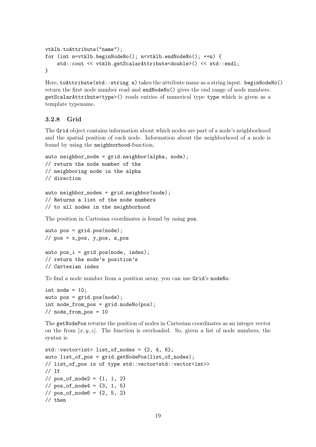```
vtklb.toAttribute("name");
for (int n=vtklb.beginNodeNo(); n<vtklb.endNodeNo(); ++n) {
    std::cout << vtklb.getScalarAttribute<double>() << std::endl;
}
```
Here, toAttribute(std::string s) takes the attribute name as a string input. beginNodeNo() return the first node number read and endNodeNo() gives the end range of node numbers. getScalarAttribute<type>() reads entries of numerical type type which is given as a template typename.

#### 3.2.8 Grid

The Grid object contains information about which nodes are part of a node's neighborhood and the spatial position of each node. Information about the neighborhood of a node is found by using the neighborhood-function,

```
auto neighbor_node = grid.neighbor(alpha, node);
// return the node number of the
// neighboring node in the alpha
// direction
```

```
auto neighbor_nodes = grid.neighbor(node);
// Returns a list of the node numbers
// to all nodes in the neighborhood
```
The position in Cartesian coordinates is found by using pos,

auto  $pos = grid.pop(node)$ ; //  $pos = x_pos$ ,  $y_pos$ ,  $z_pos$ 

auto  $pos_i = grid.pop(node, index);$ // return the node's position's // Cartesian index

To find a node number from a position array, you can use Grid's nodeNo:

```
int node = 10;
auto pos = grid.pop(node);
int node_from_pos = grid.nodeNo(pos);
// node_from_pos = 10
```
The getNodePos returns the position of nodes in Cartesian coordinates as an integer vector on the from  $[x, y, z]$ . The function is overloaded. So, given a list of node numbers, the syntax is

```
std::vector<int> int> list_of_model</math>auto list_of_pos = grid.getNodePos(list_of_nodes);
// list_of_pos is of type std::vector<std::vector<int>>
// Tf
// pos_of_model = {1, 1, 2}// pos_of_model = {3, 1, 5}// pos_of_model = {2, 5, 2}// then
```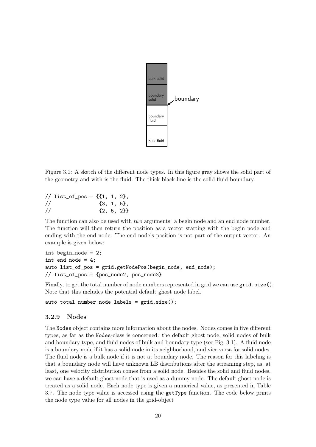

Figure 3.1: A sketch of the different node types. In this figure gray shows the solid part of the geometry and with is the fluid. The thick black line is the solid fluid boundary.

 $//$  list\_of\_pos = { $\{1, 1, 2\}$ ,  $\frac{1}{1}$  {3, 1, 5},  $/$  {2, 5, 2}}

The function can also be used with *two* arguments: a begin node and an end node number. The function will then return the position as a vector starting with the begin node and ending with the end node. The end node's position is not part of the output vector. An example is given below:

```
int begin_node = 2;
int end_node = 4;
auto list_of_pos = grid.getNodePos(begin_node, end_node);
// list_of_pos = {pos_node2, pos_node3}
```
Finally, to get the total number of node numbers represented in grid we can use grid.size(). Note that this includes the potential default ghost node label.

auto total\_number\_node\_labels = grid.size();

#### 3.2.9 Nodes

The Nodes object contains more information about the nodes. Nodes comes in five different types, as far as the Nodes-class is concerned: the default ghost node, solid nodes of bulk and boundary type, and fluid nodes of bulk and boundary type (see Fig. 3.1). A fluid node is a boundary node if it has a solid node in its neighborhood, and vice versa for solid nodes. The fluid node is a bulk node if it is not at boundary node. The reason for this labeling is that a boundary node will have unknown LB distributions after the streaming step, as, at least, one velocity distribution comes from a solid node. Besides the solid and fluid nodes, we can have a default ghost node that is used as a dummy node. The default ghost node is treated as a solid node. Each node type is given a numerical value, as presented in Table 3.7. The node type value is accessed using the getType function. The code below prints the node type value for all nodes in the grid-object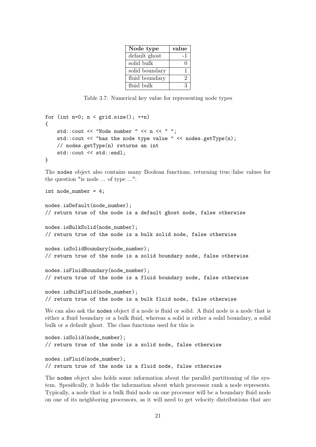| Node type      | value             |
|----------------|-------------------|
| default ghost  | - 1               |
| solid bulk     | $\mathbf{\Omega}$ |
| solid boundary |                   |
| fluid boundary | 2                 |
| fluid bulk     | 3                 |

Table 3.7: Numerical key value for representing node types

```
for (int n=0; n < grid.size(); +n)
{
    std::cout << "Node number " << n << " ";
    std::cout << "has the node type value " << nodes.getType(n);
    // nodes.getType(n) returns an int
    std::cout << std::endl;
}
```
The nodes object also contains many Boolean functions, returning true/false values for the question "is node ... of type ...":

int node\_number = 4;

```
nodes.isDefault(node_number);
// return true of the node is a default ghost node, false otherwise
nodes.isBulkSolid(node_number);
```
// return true of the node is a bulk solid node, false otherwise

```
nodes.isSolidBoundary(node_number);
// return true of the node is a solid boundary node, false otherwise
```

```
nodes.isFluidBoundary(node_number);
// return true of the node is a fluid boundary node, false otherwise
```
nodes.isBulkFluid(node\_number); // return true of the node is a bulk fluid node, false otherwise

We can also ask the nodes object if a node is fluid or solid. A fluid node is a node that is either a fluid boundary or a bulk fluid, whereas a solid is either a solid boundary, a solid bulk or a default ghost. The class functions used for this is

```
nodes.isSolid(node_number);
// return true of the node is a solid node, false otherwise
nodes.isFluid(node_number);
// return true of the node is a fluid node, false otherwise
```
The nodes object also holds some information about the parallel partitioning of the system. Spesifically, it holds the information about which processor rank a node represents. Typically, a node that is a bulk fluid node on one processor will be a boundary fluid node on one of its neighboring processors, as it will need to get velocity distributions that are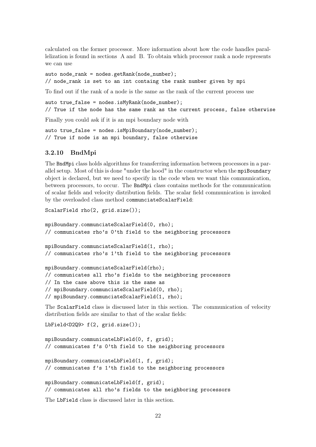calculated on the former processor. More information about how the code handles parallelization is found in sections A and B. To obtain which processor rank a node represents we can use

auto node\_rank = nodes.getRank(node\_number); // node\_rank is set to an int containg the rank number given by mpi

To find out if the rank of a node is the same as the rank of the current process use

auto  $true_false = nodes.isMyRank(node_number);$ // True if the node has the same rank as the current process, false otherwise

Finally you could ask if it is an mpi boundary node with

```
auto true_false = nodes.isMpiBoundary(node_number);
// True if node is an mpi boundary, false otherwise
```
#### 3.2.10 BndMpi

The BndMpi class holds algorithms for transferring information between processors in a parallel setup. Most of this is done "under the hood" in the constructor when the mpiBoundary object is declared, but we need to specify in the code when we want this communication, between processors, to occur. The BndMpi class contains methods for the communication of scalar fields and velocity distribution fields. The scalar field communication is invoked by the overloaded class method communciateScalarField:

```
ScalarField rho(2, grid.size());
```

```
mpiBoundary.communciateScalarField(0, rho);
// communicates rho's 0'th field to the neighboring processors
mpiBoundary.communciateScalarField(1, rho);
// communicates rho's 1'th field to the neighboring processors
mpiBoundary.communciateScalarField(rho);
// communicates all rho's fields to the neighboring processors
// In the case above this is the same as
// mpiBoundary.communciateScalarField(0, rho);
// mpiBoundary.communciateScalarField(1, rho);
```
The ScalarField class is discussed later in this section. The communication of velocity distribution fields are similar to that of the scalar fields:

LbField<D2Q9> f(2, grid.size());

```
mpiBoundary.communicateLbField(0, f, grid);
// communicates f's 0'th field to the neighboring processors
mpiBoundary.communicateLbField(1, f, grid);
// communicates f's 1'th field to the neighboring processors
mpiBoundary.communicateLbField(f, grid);
// communicates all rho's fields to the neighboring processors
```
The LbField class is discussed later in this section.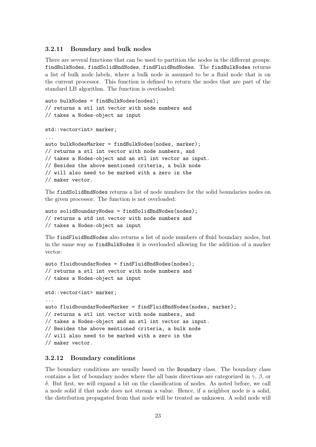#### 3.2.11 Boundary and bulk nodes

There are several functions that can be used to partition the nodes in the different groups: findBulkNodes, findSolidBndNodes, findFluidBndNodes. The findBulkNodes returns a list of bulk node labels, where a bulk node is assumed to be a fluid node that is on the current processor. This function is defined to return the nodes that are part of the standard LB algorithm. The function is overloaded:

auto bulkNodes = findBulkNodes(nodes); // returns a stl int vector with node numbers and // takes a Nodes-object as input

std::vector<int> marker; ... auto bulkNodesMarker = findBulkNodes(nodes, marker); // returns a stl int vector with node numbers, and // takes a Nodes-object and an stl int vector as input. // Besides the above mentioned criteria, a bulk node // will also need to be marked with a zero in the // maker vector.

The findSolidBndNodes returns a list of node numbers for the solid boundaries nodes on the given processor. The function is not overloaded:

```
auto solidBoundaryNodes = findSolidBndNodes(nodes);
// returns a std int vector with node numbers and
// takes a Nodes-object as input
```
The findFluidBndNodes also returns a list of node numbers of fluid boundary nodes, but in the same way as findBulkNodes it is overloaded allowing for the addition of a marker vector:

```
auto fluidboundarNodes = findFluidBndNodes(nodes);
// returns a stl int vector with node numbers and
// takes a Nodes-object as input
std::vector<int> marker;
...
auto fluidboundarNodesMarker = findFluidBndNodes(nodes, marker);
// returns a stl int vector with node numbers, and
// takes a Nodes-object and an stl int vector as input.
// Besides the above mentioned criteria, a bulk node
// will also need to be marked with a zero in the
// maker vector.
```
#### 3.2.12 Boundary conditions

The boundary conditions are usually based on the Boundary class. The boundary class contains a list of boundary nodes where the all basis directions are categorized in  $\gamma$ ,  $\beta$ , or δ. But first, we will expand a bit on the classification of nodes. As noted before, we call a node solid if that node does not stream a value. Hence, if a neighbor node is a solid, the distribution propagated from that node will be treated as unknown. A solid node will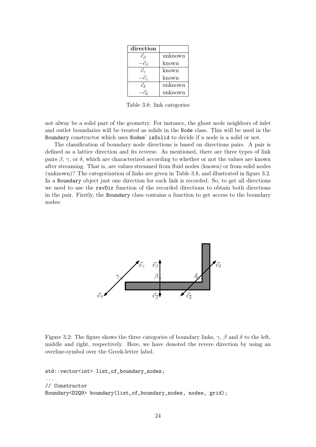| direction          |         |
|--------------------|---------|
| $\vec{c}_{\beta}$  | unknown |
|                    | known   |
| $\check{c_{\sim}}$ | known   |
|                    | known   |
| ēя                 | unknown |
|                    | unknown |

Table 3.8: link categories

not alway be a solid part of the geometry. For instance, the ghost node neighbors of inlet and outlet boundaries will be treated as solids in the Node class. This will be used in the Boundary constructor which uses Nodes' isSolid to decide if a node is a solid or not.

The classification of boundary node directions is based on directions pairs. A pair is defined as a lattice direction and its reverse. As mentioned, there are three types of link pairs  $\beta$ ,  $\gamma$ , or  $\delta$ , which are characterized according to whether or not the values are known after streaming. That is, are values streamed from fluid nodes (known) or from solid nodes (unknown)? The categorization of links are given in Table 3.8, and illustrated in figure 3.2. In a Boundary object just one direction for each link is recorded. So, to get all directions we need to use the revDir function of the recorded directions to obtain both directions in the pair. Firstly, the Boundary class contains a function to get access to the boundary nodes:



Figure 3.2: The figure shows the three categories of boundary links,  $\gamma$ ,  $\beta$  and  $\delta$  to the left, middle and right, respectively. Here, we have denoted the revere direction by using an overline-symbol over the Greek-letter label.

```
std::vector<int> list_of_boundary_nodes;
...
// Constructor
Boundary<D2Q9> boundary(list_of_boundary_nodes, nodes, grid);
```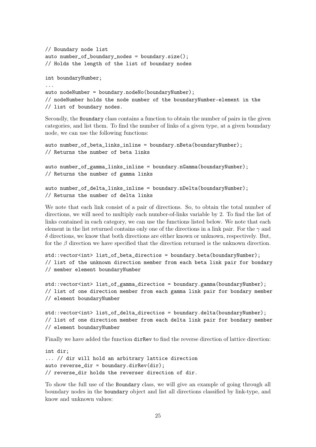```
// Boundary node list
auto number_of_boundary_nodes = boundary.size();
// Holds the length of the list of boundary nodes
int boundaryNumber;
...
auto nodeNumber = boundary.nodeNo(boundaryNumber);
// nodeNumber holds the node number of the boundaryNumber-element in the
// list of boundary nodes.
```
Secondly, the Boundary class contains a function to obtain the number of pairs in the given categories, and list them. To find the number of links of a given type, at a given boundary node, we can use the following functions:

```
auto number_of_beta_links_inline = boundary.nBeta(boundaryNumber);
// Returns the number of beta links
```
auto number\_of\_gamma\_links\_inline = boundary.nGamma(boundaryNumber); // Returns the number of gamma links

```
auto number_of_delta_links_inline = boundary.nDelta(boundaryNumber);
// Returns the number of delta links
```
We note that each link consist of a pair of directions. So, to obtain the total number of directions, we will need to multiply each number-of-links variable by 2. To find the list of links contained in each category, we can use the functions listed below. We note that each element in the list returned contains only one of the directions in a link pair. For the  $\gamma$  and  $\delta$  directions, we know that both directions are either known or unknown, respectively. But, for the  $\beta$  direction we have specified that the direction returned is the unknown direction.

```
std::vector<int> list_of_beta_directios = boundary.beta(boundaryNumber);
// list of the unknown direction member from each beta link pair for bondary
// member element boundaryNumber
```

```
std::vector<int> list_of_gamma_directios = boundary.gamma(boundaryNumber);
// list of one direction member from each gamma link pair for bondary member
// element boundaryNumber
```
std::vector<int> list\_of\_delta\_directios = boundary.delta(boundaryNumber); // list of one direction member from each delta link pair for bondary member // element boundaryNumber

Finally we have added the function dirRev to find the reverse direction of lattice direction:

```
int dir;
... // dir will hold an arbitrary lattice direction
auto reverse_dir = boundary.dirRev(dir);
// reverse_dir holds the reverser direction of dir.
```
To show the full use of the Boundary class, we will give an example of going through all boundary nodes in the boundary object and list all directions classified by link-type, and know and unknown values: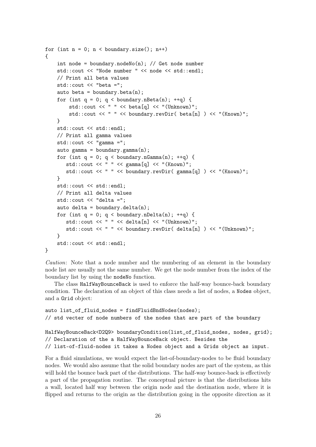```
for (int n = 0; n < boundary.size(); n<sup>++</sup>)
{
    int node = boundary.nodeNo(n); // Get node number
    std::cout << "Node number " << node << std::endl;
    // Print all beta values
    std::cout << "beta =";
    auto beta = boundary.beta(n);
    for (int q = 0; q < boundary.nBeta(n); ++q) {
        std::cout << " " << beta[q] << "(Unknown)";
        std::cout << " " << boundary.revDir( beta[n] ) << "(Known)";
    }
    std::cout << std::endl;
    // Print all gamma values
    std:: cout << "gamma =";
    auto gamma = boundary.gamma(n);for (int q = 0; q < boundary.nGamma(n); ++q) {
       std::cout << " " << gamma[q] << "(Known)";
       std::cout << " " << boundary.revDir( gamma[g] ) << "(Known)";
    }
    std::cout << std::endl;
    // Print all delta values
    std::cout << "delta =";
    auto delta = boundary.delta(n);
    for (int q = 0; q < boundary.nDelta(n); ++q) {
       std::cout << " " << delta[n] << "(Unknown)";
       std::cout << " " << boundary.revDir( delta[n] ) << "(Unknown)";
    }
    std::cout << std::endl;
}
```

```
Caution: Note that a node number and the numbering of an element in the boundary
node list are usually not the same number. We get the node number from the index of the
boundary list by using the nodeNo function.
```
The class HalfWayBounceBack is used to enforce the half-way bounce-back boundary condition. The declaration of an object of this class needs a list of nodes, a Nodes object, and a Grid object:

```
auto list_of_fluid_nodes = findFluidBndNodes(nodes);
// std vecter of node numbers of the nodes that are part of the boundary
HalfWayBounceBack<D2Q9> boundaryCondition(list_of_fluid_nodes, nodes, grid);
// Declaration of the a HalfWayBounceBack object. Besides the
// list-of-fluid-nodes it takes a Nodes object and a Grids object as input.
```
For a fluid simulations, we would expect the list-of-boundary-nodes to be fluid boundary nodes. We would also assume that the solid boundary nodes are part of the system, as this will hold the bounce back part of the distributions. The half-way bounce-back is effectively a part of the propagation routine. The conceptual picture is that the distributions hits a wall, located half way between the origin node and the destination node, where it is flipped and returns to the origin as the distribution going in the opposite direction as it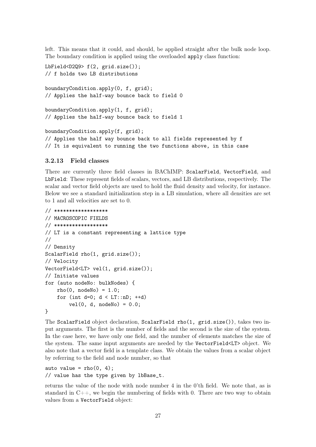left. This means that it could, and should, be applied straight after the bulk node loop. The boundary condition is applied using the overloaded apply class function:

```
LbField<D2Q9> f(2, grid.size());
// f holds two LB distributions
boundaryCondition.apply(0, f, grid);
// Applies the half-way bounce back to field 0
boundaryCondition.apply(1, f, grid);
// Applies the half-way bounce back to field 1
boundaryCondition.apply(f, grid);
// Applies the half way bounce back to all fields represented by f
```
// It is equivalent to running the two functions above, in this case

# 3.2.13 Field classes

There are currently three field classes in BAChIMP: ScalarField, VectorField, and LbField: These represent fields of scalars, vectors, and LB distributions, respectively. The scalar and vector field objects are used to hold the fluid density and velocity, for instance. Below we see a standard initialization step in a LB simulation, where all densities are set to 1 and all velocities are set to 0.

```
// ******************
// MACROSCOPIC FIELDS
// ******************
// LT is a constant representing a lattice type
//
// Density
ScalarField rho(1, grid.size());
// Velocity
VectorField<LT> vel(1, grid.size());
// Initiate values
for (auto nodeNo: bulkNodes) {
    rho(0, nodeNo) = 1.0;for (int d=0; d < LT::nD; ++d)
        vel(0, d, nodeNo) = 0.0;}
```
The ScalarField object declaration, ScalarField rho(1, grid.size()), takes two input arguments. The first is the number of fields and the second is the size of the system. In the case here, we have only one field, and the number of elements matches the size of the system. The same input arguments are needed by the VectorField<LT> object. We also note that a vector field is a template class. We obtain the values from a scalar object by referring to the field and node number, so that

auto value =  $rho(0, 4)$ ; // value has the type given by lbBase\_t.

returns the value of the node with node number 4 in the 0'th field. We note that, as is standard in  $C_{++}$ , we begin the numbering of fields with 0. There are two way to obtain values from a VectorField object: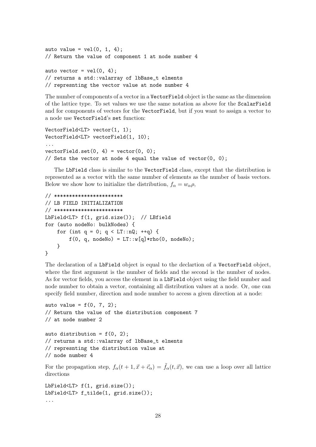```
auto value = vel(0, 1, 4);
// Return the value of component 1 at node number 4
auto vector = vel(0, 4);
// returns a std::valarray of lbBase_t elments
// represnting the vector value at node number 4
```
The number of components of a vector in a VectorField object is the same as the dimension of the lattice type. To set values we use the same notation as above for the ScalarField and for components of vectors for the VectorField, but if you want to assign a vector to a node use VectorField's set function:

```
VectorField<LT> vector(1, 1);
VectorField<LT> vectorField(1, 10);
...
vectorField.set(0, 4) = vector(0, 0);// Sets the vector at node 4 equal the value of vector(0, 0);
```
The LbField class is similar to the VectorField class, except that the distribution is represented as a vector with the same number of elements as the number of basis vectors. Below we show how to initialize the distribution,  $f_{\alpha} = w_{\alpha} \rho$ ,

```
// ***********************
// LB FIELD INITIALIZATION
// ***********************
LbField<LT> f(1, grid.size()); // LBfield
for (auto nodeNo: bulkNodes) {
    for (int q = 0; q < LT::nQ; ++q) {
        f(0, q, nodeNo) = LT::w[q]*rho(0, nodeNo);}
}
```
The declaration of a LbField object is equal to the declartion of a VectorField object, where the first argument is the number of fields and the second is the number of nodes. As for vector fields, you access the element in a LbField object using the field number and node number to obtain a vector, containing all distribution values at a node. Or, one can specify field number, direction and node number to access a given direction at a node:

```
auto value = f(0, 7, 2);
// Return the value of the distribution component 7
// at node number 2
auto distribution = f(0, 2);
// returns a std::valarray of lbBase_t elments
// represnting the distribution value at
// node number 4
```
For the propagation step,  $f_{\alpha}(t + 1, \vec{x} + \vec{c}_{\alpha}) = \tilde{f}_{\alpha}(t, \vec{x})$ , we can use a loop over all lattice directions

LbField<LT> f(1, grid.size()); LbField<LT> f\_tilde(1, grid.size()); ...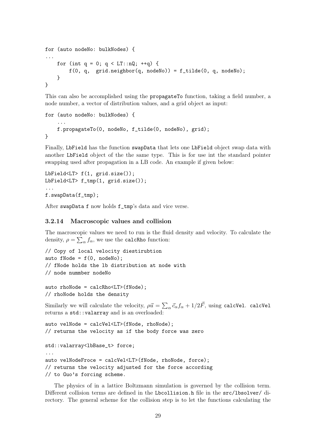```
for (auto nodeNo: bulkNodes) {
...
    for (int q = 0; q < LT::nQ; ++q) {
        f(0, q, grid.neighbor(q, nodeNo)) = f_tilde(0, q, nodeNo);
    }
}
```
This can also be accomplished using the **propagateTo** function, taking a field number, a node number, a vector of distribution values, and a grid object as input:

```
for (auto nodeNo: bulkNodes) {
    ...
    f.propagateTo(0, nodeNo, f_tilde(0, nodeNo), grid);
}
```
Finally, LbField has the function swapData that lets one LbField object swap data with another LbField object of the the same type. This is for use int the standard pointer swapping used after propagation in a LB code. An example if given below:

```
LbField<LT> f(1, grid.size());
LbField<LT> f_tmp(1, grid.size());
...
f.swapData(f_tmp);
```
After swapData f now holds f\_tmp's data and vice verse.

#### 3.2.14 Macroscopic values and collision

The macroscopic values we need to run is the fluid density and velocity. To calculate the density,  $\rho = \sum_{\alpha} f_{\alpha}$ , we use the calcRho function:

```
// Copy of local velocity diestirubtion
auto fNode = f(0, nodeN0):
// fNode holds the lb distribution at node with
// node nummber nodeNo
```
auto rhoNode = calcRho<LT>(fNode); // rhoNode holds the density

Similarly we will calculate the velocity,  $\rho \vec{u} = \sum_{\alpha} \vec{c}_{\alpha} f_{\alpha} + 1/2 \vec{F}$ , using calcVel. calcVel returns a std::valarray and is an overloaded:

```
auto velNode = calcVel<LT>(fNode, rhoNode);
// returns the velocity as if the body force was zero
std::valarray<lbBase_t> force;
...
auto velNodeFroce = calcVel<LT>(fNode, rhoNode, force);
```
// returns the velocity adjusted for the force according // to Guo's forcing scheme.

The physics of in a lattice Boltzmann simulation is governed by the collision term. Different collision terms are defined in the Lbcollision.h file in the src/lbsolver/ directory. The general scheme for the collision step is to let the functions calculating the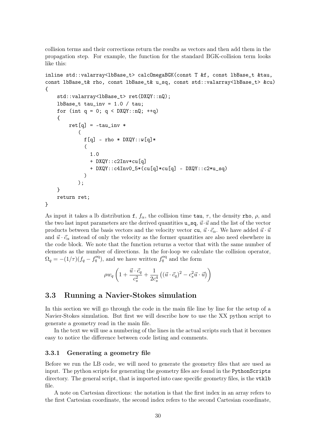collision terms and their corrections return the results as vectors and then add them in the propagation step. For example, the function for the standard BGK-collision term looks like this:

```
inline std::valarray<lbBase_t> calcOmegaBGK(const T &f, const lbBase_t &tau,
const lbBase_t& rho, const lbBase_t& u_sq, const std::valarray<lbBase_t> &cu)
{
    std::valarray<lbBase_t> ret(DXQY::nQ);
    1bBase_t tau_inv = 1.0 / tau;for (int q = 0; q < DXQY: :nQ; ++q)
    {
        ret[q] = -tau\_inv *(
             f[g] - rho * DXQY::w[g]*(
               1.0
               + DXQY::c2Inv*cu[q]
               + DXQY::c4Inv0_5*(cu[q]*cu[q] - DXQY::c2*u_sq)
             )
           );
    }
    return ret;
}
```
As input it takes a lb distribution f,  $f_{\alpha}$ , the collision time tau,  $\tau$ , the density rho,  $\rho$ , and the two last input parameters are the derived quantities  $u_s, \vec{u} \cdot \vec{u}$  and the list of the vector products between the basis vectors and the velocity vector cu,  $\vec{u} \cdot \vec{c}_{\alpha}$ . We have added  $\vec{u} \cdot \vec{u}$ and  $\vec{u} \cdot \vec{c}_{\alpha}$  instead of only the velocity as the former quantities are also need elsewhere in the code block. We note that the function returns a vector that with the same number of elements as the number of directions. In the for-loop we calculate the collision operator,  $\Omega_q = -(1/\tau)(f_q - f_q^{\text{eq}})$ , and we have written  $f_q^{\text{eq}}$  and the form

$$
\rho w_q \left( 1 + \frac{\vec{u} \cdot \vec{c}_q}{c_s^2} + \frac{1}{2c_s^4} \left( (\vec{u} \cdot \vec{c}_q)^2 - c_s^2 \vec{u} \cdot \vec{u} \right) \right)
$$

## 3.3 Running a Navier-Stokes simulation

In this section we will go through the code in the main file line by line for the setup of a Navier-Stokes simulation. But first we will describe how to use the XX python script to generate a geometry read in the main file.

In the text we will use a numbering of the lines in the actual scripts such that it becomes easy to notice the difference between code listing and comments.

#### 3.3.1 Generating a geometry file

Before we run the LB code, we will need to generate the geometry files that are used as input. The python scripts for generating the geometry files are found in the PythonScripts directory. The general script, that is imported into case specific geometry files, is the vtklb file.

A note on Cartesian directions: the notation is that the first index in an array refers to the first Cartesian coordinate, the second index refers to the second Cartesian coordinate,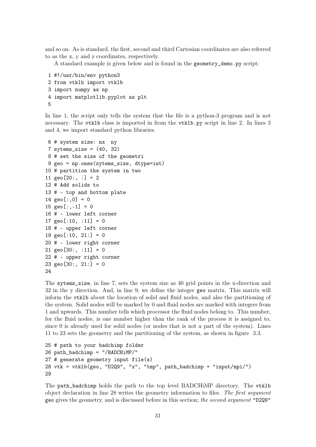and so on. As is standard, the first, second and third Cartesian coordinates are also referred to as the x, y and z coordinates, respectively.

A standard example is given below and is found in the geometry\_demo.py script:

```
1 #!/usr/bin/env python3
2 from vtklb import vtklb
3 import numpy as np
4 import matplotlib.pyplot as plt
5
```
In line 1, the script only tells the system that the file is a python-3 program and is not necessary. The vtklb class is imported in from the vtklb.py script in line 2. In lines 3 and 4, we import standard python libraries.

```
6 # system size: nx ny
7 sytems_size = (40, 32)8 # set the size of the geometri
9 geo = np.ones(sytems_size, dtype=int)
10 # partition the system in two
11 geo[20:, :] = 212 # Add solids to
13 # - top and bottom plate
14 geo[:, 0] = 015 geo[:, -1] = 016 # - lower left corner
17 geo[:10, :11] = 018 # - upper left corner
19 geo[:10, 21:] = 020 # - lower right corner
21 geo[30:, :11] = 0
22 # - upper right corner
23 geo[30:, 21:] = 024
```
The sytems\_size, in line 7, sets the system size as 40 grid points in the x-direction and 32 in the y direction. And, in line 9, we define the integer geo matrix. This matrix will inform the vtklb about the location of solid and fluid nodes, and also the partitioning of the system. Solid nodes will be marked by 0 and fluid nodes are marked with integers from 1 and upwards. This number tells which processor the fluid nodes belong to. This number, for the fluid nodes, is one number higher than the rank of the process it is assigned to, since 0 is already used for solid nodes (or nodes that is not a part of the system). Lines 11 to 23 sets the geometry and the partitioning of the system, as shown in figure 3.3.

```
25 # path to your badchimp folder
26 path_badchimp = "/BADCHiMP/"
27 # generate geometry input file(s)
28 vtk = vtklb(geo, "D2Q9", "x", "tmp", path_badchimp + "input/mpi/")
29
```
The path\_badchimp holds the path to the top level BADCHiMP directory. The vtklb object declaration in line 28 writes the geometry information to files. The first argument geo gives the geometry, and is discussed before in this section; the second argument "D2Q9"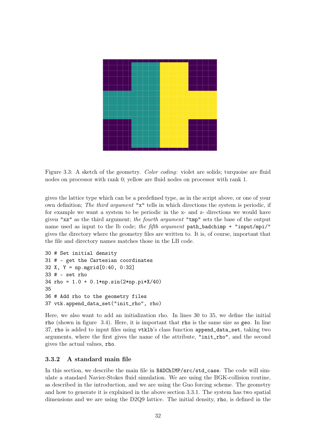

Figure 3.3: A sketch of the geometry. Color coding: violet are solids; turquoise are fluid nodes on processor with rank 0; yellow are fluid nodes on processor with rank 1.

gives the lattice type which can be a predefined type, as in the script above, or one of your own definition; The third argument "x" tells in which directions the system is periodic, if for example we want a system to be periodic in the x- and z- directions we would have given "xz" as the third argument; the fourth argument "tmp" sets the base of the output name used as input to the lb code; the fifth argument path\_badchimp + "input/mpi/" gives the directory where the geometry files are written to. It is, of course, important that the file and directory names matches those in the LB code.

```
30 # Set initial density
31 # - get the Cartesian coordinates
32 X, Y = np.mgrid[0:40, 0:32]
33 # - set rho
34 rho = 1.0 + 0.1*np.sin(2*np.pi*X/40)
35
36 # Add rho to the geometry files
37 vtk.append_data_set("init_rho", rho)
```
Here, we also want to add an initialization rho. In lines 30 to 35, we define the initial rho (shown in figure 3.4). Here, it is important that rho is the same size as geo. In line 37, rho is added to input files using vtklb's class function append\_data\_set, taking two arguments, where the first gives the name of the attribute, "init\_rho", and the second gives the actual values, rho.

## 3.3.2 A standard main file

In this section, we describe the main file in BADChIMP/src/std\_case. The code will simulate a standard Navier-Stokes fluid simulation. We are using the BGK-collision routine, as described in the introduction, and we are using the Guo forcing scheme. The geometry and how to generate it is explained in the above section 3.3.1. The system has two spatial dimensions and we are using the D2Q9 lattice. The initial density, rho, is defined in the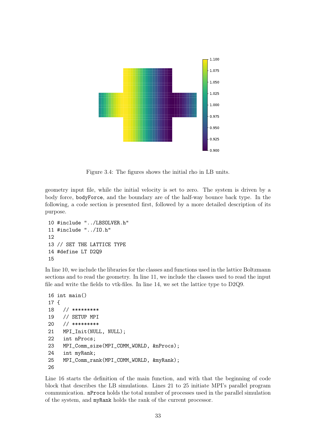

Figure 3.4: The figures shows the initial rho in LB units.

geometry input file, while the initial velocity is set to zero. The system is driven by a body force, bodyForce, and the boundary are of the half-way bounce back type. In the following, a code section is presented first, followed by a more detailed description of its purpose.

```
10 #include "../LBSOLVER.h"
11 #include "../IO.h"
12
13 // SET THE LATTICE TYPE
14 #define LT D2Q9
15
```
In line 10, we include the libraries for the classes and functions used in the lattice Boltzmann sections and to read the geometry. In line 11, we include the classes used to read the input file and write the fields to vtk-files. In line 14, we set the lattice type to D2Q9.

```
16 int main()
17 {
18 // *********
19 // SETUP MPI
20 // *********
21 MPI_Init(NULL, NULL);
22 int nProcs;
23 MPI_Comm_size(MPI_COMM_WORLD, &nProcs);
24 int myRank;
25 MPI_Comm_rank(MPI_COMM_WORLD, &myRank);
26
```
Line 16 starts the definition of the main function, and with that the beginning of code block that describes the LB simulations. Lines 21 to 25 initiate MPI's parallel program communication. nProcs holds the total number of processes used in the parallel simulation of the system, and myRank holds the rank of the current processor.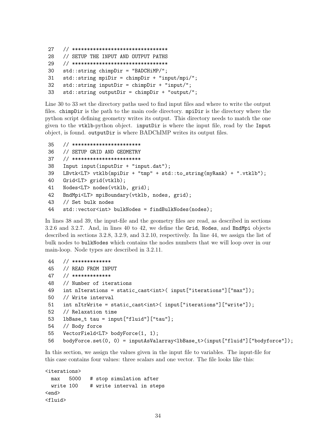```
27 // ********************************
28 // SETUP THE INPUT AND OUTPUT PATHS
29 // ********************************
30 std::string chimpDir = "BADCHiMP/";
31 std::string mpiDir = chimpDir + "input/mpi/";
32 std::string inputDir = chimpDir + "input/";
33 std::string outputDir = chimpDir + "output/";
```
Line 30 to 33 set the directory paths used to find input files and where to write the output files. chimpDir is the path to the main code directory. mpiDir is the directory where the python script defining geometry writes its output. This directory needs to match the one given to the vtklb-python object. inputDir is where the input file, read by the Input object, is found. outputDir is where BADChIMP writes its output files.

```
35 // ***********************
36 // SETUP GRID AND GEOMETRY
37 // ***********************
38 Input input(inputDir + "input.dat");
39 LBvtk<LT> vtklb(mpiDir + "tmp" + std::to_string(myRank) + ".vtklb");
40 Grid<LT> grid(vtklb);
41 Nodes<LT> nodes(vtklb, grid);
42 BndMpi<LT> mpiBoundary(vtklb, nodes, grid);
43 // Set bulk nodes
44 std::vector<int> bulkNodes = findBulkNodes(nodes);
```
In lines 38 and 39, the input-file and the geometry files are read, as described in sections 3.2.6 and 3.2.7. And, in lines 40 to 42, we define the Grid, Nodes, and BndMpi objects described in sections 3.2.8, 3.2.9, and 3.2.10, respectively. In line 44, we assign the list of bulk nodes to bulkNodes which contains the nodes numbers that we will loop over in our main-loop. Node types are described in 3.2.11.

```
44 // *************
45 // READ FROM INPUT
47 // *************
48 // Number of iterations
49 int nIterations = static_cast<int>( input["iterations"]["max"]);
50 // Write interval
51 int nItrWrite = static_cast<int>( input["iterations"]["write"]);
52 // Relaxation time
53 lbBase_t tau = input["fluid"]["tau"];
54 // Body force
55 VectorField<LT> bodyForce(1, 1);
56 bodyForce.set(0, 0) = inputAsValarray<lbBase_t>(input["fluid"]["bodyforce"]);
```
In this section, we assign the values given in the input file to variables. The input-file for this case contains four values: three scalars and one vector. The file looks like this:

```
<iterations>
     max 5000 # stop simulation after
     write 100 # write interval in steps
<br />
<br />
<br />
<br />
<br />
<br />
<br />
<br />
<br />
<br />
<br />
<br />
<br />
<br />
<br />
<br />
<br />
<br />
<br />
<br />
<br />
<br />
<br />
<br />
<br />
<br />
<<br />
<<br />
<<br />
<<br />
<<<<<<<<
<fluid>
```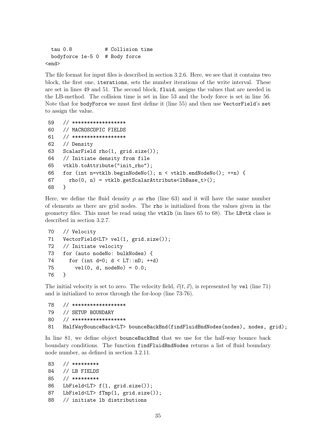```
tau 0.8 # Collision time
 bodyforce 1e-5 0 # Body force
<end>
```
The file format for input files is described in section 3.2.6. Here, we see that it contains two block, the first one, iterations, sets the number iterations of the write interval. These are set in lines 49 and 51. The second block, fluid, assigns the values that are needed in the LB-method. The collision time is set in line 53 and the body force is set in line 56. Note that for bodyForce we must first define it (line 55) and then use VectorField's set to assign the value.

```
59 // ******************
60 // MACROSCOPIC FIELDS
61 // ******************
62 // Density
63 ScalarField rho(1, grid.size());
64 // Initiate density from file
65 vtklb.toAttribute("init_rho");
66 for (int n=vtklb.beginNodeNo(); n < vtklb.endNodeNo(); ++n) {
67 rho(0, n) = vtklb.getScalarAttribute {bbBase_t}{()};68 }
```
Here, we define the fluid density  $\rho$  as rho (line 63) and it will have the same number of elements as there are grid nodes. The rho is initialized from the values given in the geometry files. This must be read using the vtklb (in lines 65 to 68). The LBvtk class is described in section 3.2.7.

```
70 // Velocity
71 VectorField<LT> vel(1, grid.size());
72 // Initiate velocity
73 for (auto nodeNo: bulkNodes) {
74 for (int d=0; d < LT::nD; ++d)
75 vel(0, d, nodeNo) = 0.0;
76 }
```
The initial velocity is set to zero. The velocity field,  $\vec{v}(t, \vec{x})$ , is represented by vel (line 71) and is initialized to zeros through the for-loop (line 73-76).

```
78 // ******************
79 // SETUP BOUNDARY
80 // ******************
81 HalfWayBounceBack<LT> bounceBackBnd(findFluidBndNodes(nodes), nodes, grid);
```
In line 81, we define object bounceBackBnd that we use for the half-way bounce back boundary conditions. The function findFluidBndNodes returns a list of fluid boundary node number, as defined in section 3.2.11.

```
83 // *********
84 // LB FIELDS
85 // *********
86 LbField<LT> f(1, grid.size());
87 LbField<LT> fTmp(1, grid.size());
88 // initiate lb distributions
```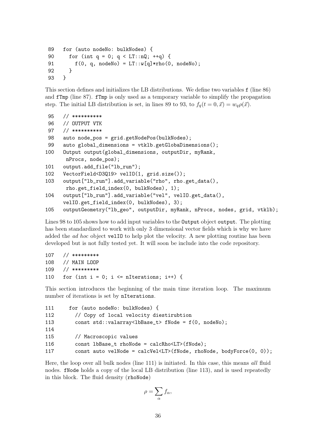```
89 for (auto nodeNo: bulkNodes) {
90 for (int q = 0; q < LT::nQ; ++q) {
91 f(0, q, nodeNo) = LT::w[q]*rho(0, nodeNo);92 }
93 }
```
This section defines and initializes the LB distributions. We define two variables f (line 86) and fTmp (line 87). fTmp is only used as a temporary variable to simplify the propagation step. The initial LB distribution is set, in lines 89 to 93, to  $f_q(t = 0, \vec{x}) = w_q \rho(\vec{x})$ .

```
95 // **********
96 // OUTPUT VTK
97 // **********
98 auto node_pos = grid.getNodePos(bulkNodes);
99 auto global_dimensions = vtklb.getGlobaDimensions();
100 Output output(global_dimensions, outputDir, myRank,
      nProcs, node_pos);
101 output.add_file("lb_run");
102 VectorField<D3Q19> velIO(1, grid.size());
103 output["lb_run"].add_variable("rho", rho.get_data(),
      rho.get_field_index(0, bulkNodes), 1);
104 output["lb_run"].add_variable("vel", velIO.get_data(),
     velIO.get_field_index(0, bulkNodes), 3);
105 outputGeometry("lb_geo", outputDir, myRank, nProcs, nodes, grid, vtklb);
```
Lines 98 to 105 shows how to add input variables to the **Output** object output. The plotting has been standardized to work with only 3 dimensional vector fields which is why we have added the *ad hoc* object velIO to help plot the velocity. A new plotting routine has been developed but is not fully tested yet. It will soon be include into the code repository.

```
107 // *********
108 // MAIN LOOP
109 // *********
110 for (int i = 0; i \leq nIterations; i++) {
```
This section introduces the beginning of the main time iteration loop. The maximum number of iterations is set by nIterations.

```
111 for (auto nodeNo: bulkNodes) {
112 // Copy of local velocity diestirubtion
113 const std::valarray<lbBase_t> fNode = f(0, nodeNo);
114
115 // Macroscopic values
116 const lbBase_t rhoNode = calcRho<LT>(fNode);
117 const auto velNode = calcVel<LT>(fNode, rhoNode, bodyForce(0, 0));
```
Here, the loop over all bulk nodes (line 111) is initiated. In this case, this means all fluid nodes. fNode holds a copy of the local LB distribution (line 113), and is used repeatedly in this block. The fluid density (rhoNode)

$$
\rho = \sum_{\alpha} f_{\alpha},
$$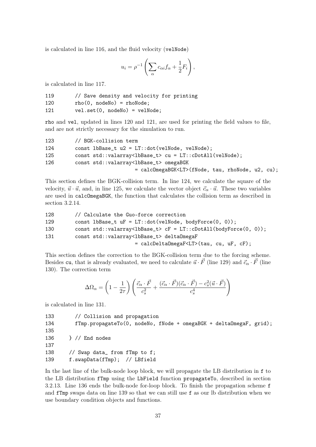is calculated in line 116, and the fluid velocity (velNode)

$$
u_i = \rho^{-1} \left( \sum_{\alpha} c_{\alpha i} f_{\alpha} + \frac{1}{2} F_i \right),
$$

is calculated in line 117.

| 119 | // Save density and velocity for printing |
|-----|-------------------------------------------|
| 120 | $rho(0, nodeNo) = rhoNode;$               |
| 121 | $vel.set(0, nodeNo) = velNode;$           |

rho and vel, updated in lines 120 and 121, are used for printing the field values to file, and are not strictly necessary for the simulation to run.

| 123 | // BGK-collision term                                                |
|-----|----------------------------------------------------------------------|
| 124 | const lbBase_t $u2 = LT::dot(velNode, velNode);$                     |
| 125 | const std::valarray <lbbase_t> cu = LT::cDotAll(velNode);</lbbase_t> |
| 126 | const std::valarray <lbbase_t> omegaBGK</lbbase_t>                   |
|     | = calcOmegaBGK <lt>(fNode, tau, rhoNode, u2, cu);</lt>               |

This section defines the BGK-collision term. In line 124, we calculate the square of the velocity,  $\vec{u} \cdot \vec{u}$ , and, in line 125, we calculate the vector object  $\vec{c}_{\alpha} \cdot \vec{u}$ . These two variables are used in calcOmegaBGK, the function that calculates the collision term as described in section 3.2.14.

| 128 | // Calculate the Guo-force correction                                                     |
|-----|-------------------------------------------------------------------------------------------|
| 129 | const lbBase_t $uF = LT::dot(velNode, bodyForce(0, 0));$                                  |
| 130 | const std::valarray <lbbase_t> <math>cF = LT::cbotAll(bodyForce(0, 0));</math></lbbase_t> |
| 131 | const std::valarray <lbbase_t> delta0megaF</lbbase_t>                                     |
|     | = calcDelta0megaF <lt>(tau, cu, uF, cF);</lt>                                             |

This section defines the correction to the BGK-collision term due to the forcing scheme. Besides cu, that is already evaluated, we need to calculate  $\vec{u} \cdot \vec{F}$  (line 129) and  $\vec{c}_{\alpha} \cdot \vec{F}$  (line 130). The correction term

$$
\Delta\Omega_\alpha = \left(1-\frac{1}{2\tau}\right)\left(\frac{\vec{c}_\alpha\cdot\vec{F}}{c_s^2}+\frac{(\vec{c}_\alpha\cdot\vec{F})(\vec{c}_\alpha\cdot\vec{F})-c_s^2(\vec{u}\cdot\vec{F})}{c_s^4}\right)
$$

is calculated in line 131.

133 // Collision and propagation 134 fTmp.propagateTo(0, nodeNo, fNode + omegaBGK + deltaOmegaF, grid); 135 136 } // End nodes 137 138 // Swap data\_ from fTmp to f; 139 f.swapData(fTmp); // LBfield

In the last line of the bulk-node loop block, we will propagate the LB distribution in f to the LB distribution fTmp using the LbField function propagateTo, described in section 3.2.13. Line 136 ends the bulk-node for-loop block. To finish the propagation scheme f and fTmp swaps data on line 139 so that we can still use f as our lb distribution when we use boundary condition objects and functions.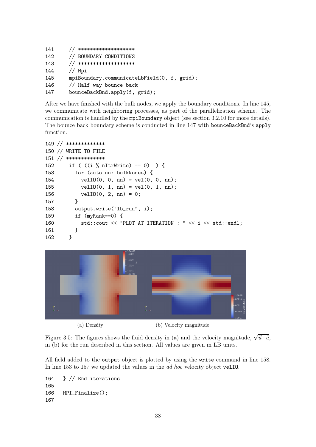| 141 | // *******************                      |
|-----|---------------------------------------------|
| 142 | // BOUNDARY CONDITIONS                      |
| 143 | // *******************                      |
| 144 | // Mpi                                      |
| 145 | mpiBoundary.communicateLbField(0, f, grid); |
| 146 | // Half way bounce back                     |
| 147 | bounceBackBnd.apply(f, grid);               |

After we have finished with the bulk nodes, we apply the boundary conditions. In line 145, we communicate with neighboring processes, as part of the parallelization scheme. The communication is handled by the mpiBoundary object (see section 3.2.10 for more details). The bounce back boundary scheme is conducted in line 147 with bounceBackBnd's apply function.

```
149 // *************
150 // WRITE TO FILE
151 // *************
152 if ( ((i % nItrWrite) == 0) ) {
153 for (auto nn: bulkNodes) {
154 velIO(0, 0, nn) = vel(0, 0, nn);
155 velIO(0, 1, nn) = vel(0, 1, nn);
156 velIO(0, 2, nn) = 0;
157 }
158 output.write("lb_run", i);
159 if (myRank==0) {
160 std::cout << "PLOT AT ITERATION : " << i << std::endl;
161 }
162 }
```


Figure 3.5: The figures shows the fluid density in (a) and the velocity magnitude,  $\sqrt{\vec{u} \cdot \vec{u}}$ , in (b) for the run described in this section. All values are given in LB units.

All field added to the output object is plotted by using the write command in line 158. In line 153 to 157 we updated the values in the ad hoc velocity object velIO.

```
164 } // End iterations
165
166 MPI_Finalize();
167
```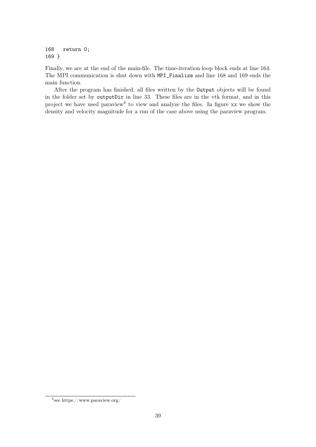168 return 0; 169 }

Finally, we are at the end of the main-file. The time-iteration loop block ends at line 164. The MPI communication is shut down with MPI\_Finalize and line 168 and 169 ends the main function.

After the program has finished, all files written by the Output objects will be found in the folder set by outputDir in line 33. These files are in the vtk format, and in this project we have used paraview<sup>4</sup> to view and analyze the files. In figure xx we show the density and velocity magnitude for a run of the case above using the paraview program.

<sup>4</sup> see https://www.paraview.org/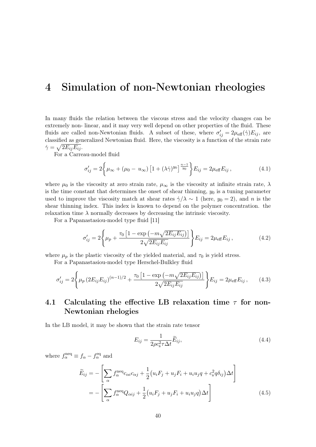# 4 Simulation of non-Newtonian rheologies

In many fluids the relation between the viscous stress and the velocity changes can be extremely non- linear, and it may very well depend on other properties of the fluid. These fluids are called non-Newtonian fluids. A subset of these, where  $\sigma'_{ij} = 2\mu_{\text{eff}}(\dot{\gamma})E_{ij}$ , are classified as generalized Newtonian fluid. Here, the viscosity is a function of the strain rate  $\dot{\gamma}=\sqrt{2E_{ij}E_{ij}}.$ 

For a Carreau-model fluid

$$
\sigma'_{ij} = 2 \left\{ \mu_{\infty} + (\mu_0 - u_{\infty}) \left[ 1 + (\lambda \dot{\gamma})^{y_0} \right]_{y_0}^{\frac{n-1}{y_0}} \right\} E_{ij} = 2 \mu_{\text{eff}} E_{ij}, \tag{4.1}
$$

where  $\mu_0$  is the viscosity at zero strain rate,  $\mu_\infty$  is the viscosity at infinite strain rate,  $\lambda$ is the time constant that determines the onset of shear thinning,  $y_0$  is a tuning parameter used to improve the viscosity match at shear rates  $\dot{\gamma}/\lambda \sim 1$  (here,  $y_0 = 2$ ), and n is the shear thinning index. This index is known to depend on the polymer concentration. the relaxation time  $\lambda$  normally decreases by decreasing the intrinsic viscosity.

For a Papanastasiou-model type fluid [11]

$$
\sigma'_{ij} = 2 \left\{ \mu_p + \frac{\tau_0 \left[ 1 - \exp\left( -m\sqrt{2E_{ij}E_{ij}} \right) \right]}{2\sqrt{2E_{ij}E_{ij}}} \right\} E_{ij} = 2\mu_{\text{eff}} E_{ij} , \qquad (4.2)
$$

where  $\mu_p$  is the plastic viscosity of the yielded material, and  $\tau_0$  is yield stress.

For a Papanastasiou-model type Herschel-Bulkley fluid

$$
\sigma'_{ij} = 2 \left\{ \mu_p \left( 2E_{ij} E_{ij} \right)^{(n-1)/2} + \frac{\tau_0 \left[ 1 - \exp \left( -m \sqrt{2E_{ij} E_{ij}} \right) \right]}{2 \sqrt{2E_{ij} E_{ij}}} \right\} E_{ij} = 2 \mu_{\text{eff}} E_{ij}, \quad (4.3)
$$

# 4.1 Calculating the effective LB relaxation time  $\tau$  for non-Newtonian rhelogies

In the LB model, it may be shown that the strain rate tensor

$$
E_{ij} = \frac{1}{2\rho c_s^2 \tau \Delta t} \widetilde{E}_{ij},\tag{4.4}
$$

where  $f_{\alpha}^{\text{neq}} \equiv f_{\alpha} - f_{\alpha}^{\text{eq}}$  and

$$
\widetilde{E}_{ij} = -\left[\sum_{\alpha} f_{\alpha}^{\text{neq}} c_{\alpha i} c_{\alpha j} + \frac{1}{2} \left(u_i F_j + u_j F_i + u_i u_j q + c_s^2 q \delta_{ij}\right) \Delta t\right]
$$
\n
$$
= -\left[\sum_{\alpha} f_{\alpha}^{\text{neq}} Q_{\alpha ij} + \frac{1}{2} \left(u_i F_j + u_j F_i + u_i u_j q\right) \Delta t\right]
$$
\n(4.5)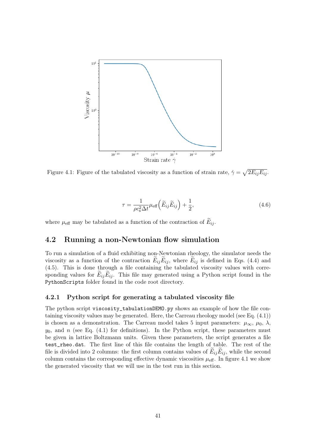

Figure 4.1: Figure of the tabulated viscosity as a function of strain rate,  $\dot{\gamma} = \sqrt{2E_{ij}E_{ij}}$ .

$$
\tau = \frac{1}{\rho c_s^2 \Delta t} \mu_{\text{eff}} \left( \widetilde{E}_{ij} \widetilde{E}_{ij} \right) + \frac{1}{2},\tag{4.6}
$$

where  $\mu_{\text{eff}}$  may be tabulated as a function of the contraction of  $E_{ij}$ .

## 4.2 Running a non-Newtonian flow simulation

To run a simulation of a fluid exhibiting non-Newtonian rheology, the simulator needs the viscosity as a function of the contraction  $E_{ij}E_{ij}$ , where  $E_{ij}$  is defined in Eqs. (4.4) and (4.5). This is done through a file containing the tabulated viscosity values with corresponding values for  $E_{ij}E_{ij}$ . This file may generated using a Python script found in the PythonScripts folder found in the code root directory.

#### 4.2.1 Python script for generating a tabulated viscosity file

The python script viscosity\_tabulationDEMO.py shows an example of how the file containing viscosity values may be generated. Here, the Carreau rheology model (see Eq. (4.1)) is chosen as a demonstration. The Carreau model takes 5 input parameters:  $\mu_{\infty}, \mu_0, \lambda$ ,  $y_0$ , and n (see Eq. (4.1) for definitions). In the Python script, these parameters must be given in lattice Boltzmann units. Given these parameters, the script generates a file test\_rheo.dat. The first line of this file contains the length of table. The rest of the file is divided into 2 columns: the first column contains values of  $E_{ij}E_{ij}$ , while the second column contains the corresponding effective dynamic viscosities  $\mu_{\text{eff}}$ . In figure 4.1 we show the generated viscosity that we will use in the test run in this section.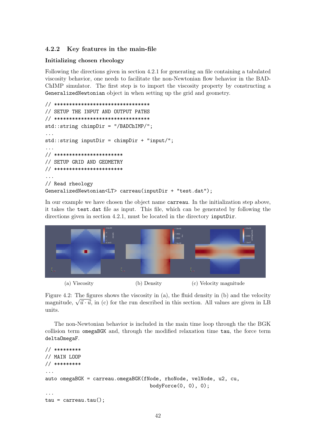#### 4.2.2 Key features in the main-file

#### Initializing chosen rheology

Following the directions given in section 4.2.1 for generating an file containing a tabulated viscosity behavior, one needs to facilitate the non-Newtonian flow behavior in the BAD-ChIMP simulator. The first step is to import the viscosity property by constructing a GeneralizedNewtonian object in when setting up the grid and geometry.

```
// ********************************
// SETUP THE INPUT AND OUTPUT PATHS
// ********************************
std::string chimpDir = "/BADChIMP/";
...
std::string inputDir = chimpDir + "input/";
...
// ***********************
// SETUP GRID AND GEOMETRY
// ***********************
...
// Read rheology
GeneralizedNewtonian<LT> carreau(inputDir + "test.dat");
```
In our example we have chosen the object name carreau. In the initialization step above, it takes the test.dat file as input. This file, which can be generated by following the directions given in section 4.2.1, must be located in the directory inputDir.



Figure 4.2: The figures shows the viscosity in (a), the fluid density in (b) and the velocity rigure 4.2: The figures shows the viscosity in (a), the fluid density in (b) and the velocity magnitude,  $\sqrt{\vec{u} \cdot \vec{u}}$ , in (c) for the run described in this section. All values are given in LB units.

The non-Newtonian behavior is included in the main time loop through the the BGK collision term omegaBGK and, through the modified relaxation time tau, the force term deltaOmegaF.

```
// *********
// MAIN LOOP
// *********
...
auto omegaBGK = carreau.omegaBGK(fNode, rhoNode, velNode, u2, cu,
                                    bodyForce(0, 0), 0);...
tau = carreau.tau();
```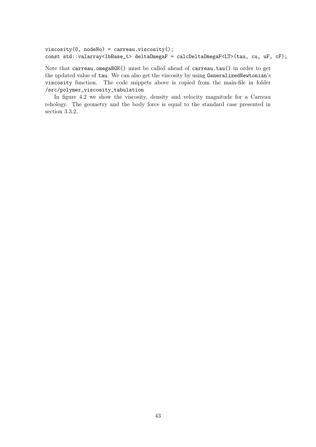```
viscosity(0, nodeNo) = carreau.viscosity();
const std::valarray<lbBase_t> deltaOmegaF = calcDeltaOmegaF<LT>(tau, cu, uF, cF);
```
Note that carreau.omegaBGK() must be called ahead of carreau.tau() in order to get the updated value of tau. We can also get the viscosity by using GeneralizedNewtonian's viscosity function. The code snippets above is copied from the main-file in folder /src/polymer\_viscosity\_tabulation

In figure 4.2 we show the viscosity, density and velocity magnitude for a Carreau rehology. The geometry and the body force is equal to the standard case presented in section 3.3.2.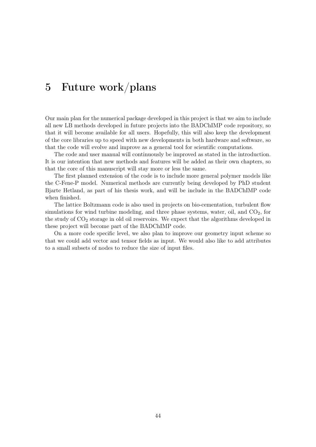# 5 Future work/plans

Our main plan for the numerical package developed in this project is that we aim to include all new LB methods developed in future projects into the BADChIMP code repository, so that it will become available for all users. Hopefully, this will also keep the development of the core libraries up to speed with new developments in both hardware and software, so that the code will evolve and improve as a general tool for scientific computations.

The code and user manual will continuously be improved as stated in the introduction. It is our intention that new methods and features will be added as their own chapters, so that the core of this manuscript will stay more or less the same.

The first planned extension of the code is to include more general polymer models like the C-Fene-P model. Numerical methods are currently being developed by PhD student Bjarte Hetland, as part of his thesis work, and will be include in the BADChIMP code when finished.

The lattice Boltzmann code is also used in projects on bio-cementation, turbulent flow simulations for wind turbine modeling, and three phase systems, water, oil, and  $CO<sub>2</sub>$ , for the study of CO<sup>2</sup> storage in old oil reservoirs. We expect that the algorithms developed in these project will become part of the BADChIMP code.

On a more code specific level, we also plan to improve our geometry input scheme so that we could add vector and tensor fields as input. We would also like to add attributes to a small subsets of nodes to reduce the size of input files.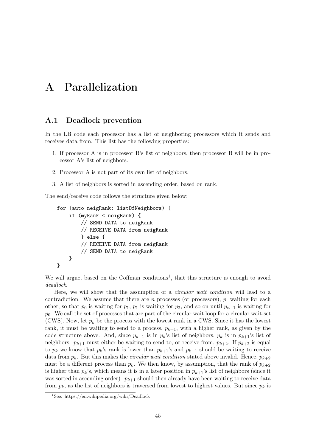# A Parallelization

## A.1 Deadlock prevention

In the LB code each processor has a list of neighboring processors which it sends and receives data from. This list has the following properties:

- 1. If processor A is in processor B's list of neighbors, then processor B will be in processor A's list of neighbors.
- 2. Processor A is not part of its own list of neighbors.
- 3. A list of neighbors is sorted in ascending order, based on rank.

The send/receive code follows the structure given below:

```
for (auto neigRank: listOfNeighbors) {
    if (myRank < neigRank) {
        // SEND DATA to neigRank
        // RECEIVE DATA from neigRank
        } else {
        // RECEIVE DATA from neigRank
        // SEND DATA to neigRank
    }
}
```
We will argue, based on the Coffman conditions<sup>1</sup>, that this structure is enough to avoid deadlock.

Here, we will show that the assumption of a circular wait condition will lead to a contradiction. We assume that there are  $n$  processes (or processors),  $p$ , waiting for each other, so that  $p_0$  is waiting for  $p_1$ ,  $p_1$  is waiting for  $p_2$ , and so on until  $p_{n-1}$  is waiting for  $p_0$ . We call the set of processes that are part of the circular wait loop for a circular wait-set (CWS). Now, let  $p_k$  be the process with the lowest rank in a CWS. Since it has the lowest rank, it must be waiting to send to a process,  $p_{k+1}$ , with a higher rank, as given by the code structure above. And, since  $p_{k+1}$  is in  $p_k$ 's list of neighbors,  $p_k$  is in  $p_{k+1}$ 's list of neighbors.  $p_{k+1}$  must either be waiting to send to, or receive from,  $p_{k+2}$ . If  $p_{k+2}$  is equal to  $p_k$  we know that  $p_k$ 's rank is lower than  $p_{k+1}$ 's and  $p_{k+1}$  should be waiting to receive data from  $p_k$ . But this makes the *circular wait condition* stated above invalid. Hence,  $p_{k+2}$ must be a different process than  $p_k$ . We then know, by assumption, that the rank of  $p_{k+2}$ is higher than  $p_k$ 's, which means it is in a later position in  $p_{k+1}$ 's list of neighbors (since it was sorted in ascending order).  $p_{k+1}$  should then already have been waiting to receive data from  $p_k$ , as the list of neighbors is traversed from lowest to highest values. But since  $p_k$  is

<sup>&</sup>lt;sup>1</sup>See: https://en.wikipedia.org/wiki/Deadlock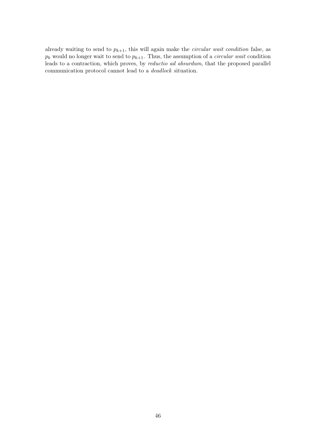already waiting to send to  $p_{k+1}$ , this will again make the *circular wait condition* false, as  $p_k$  would no longer wait to send to  $p_{k+1}$ . Thus, the assumption of a *circular wait* condition leads to a contraction, which proves, by reductio ad absurdum, that the proposed parallel communication protocol cannot lead to a deadlock situation.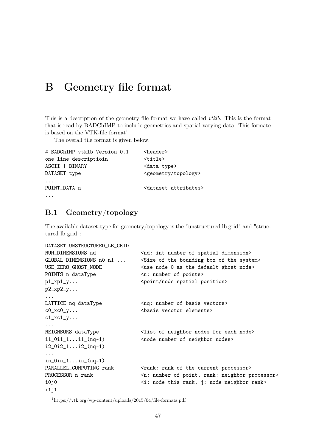# B Geometry file format

This is a description of the geometry file format we have called *vtklb*. This is the format that is read by BADChIMP to include geometries and spatial varying data. This formate is based on the VTK-file format<sup>1</sup>.

The overall tile format is given below.

```
# BADChIMP vtklb Version 0.1 <header>
one line descriptioin <title>
ASCII | BINARY <data type>
DATASET type <geometry/topology>
...
POINT_DATA n <dataset attributes>
...
```
## B.1 Geometry/topology

The available dataset-type for geometry/topology is the "unstructured lb grid" and "structured lb grid":

```
DATASET UNSTRUCTURED_LB_GRID
NUM_DIMENSIONS nd \langlend: int number of spatial dimension>
GLOBAL_DIMENSIONS n0 n1 ... < Size of the bounding box of the system>
USE_ZERO_GHOST_NODE <use node 0 as the default ghost node>
POINTS n dataType \langle n: \text{ number of points} \ranglep1_xp1_y... \Diamond <point/node spatial position>
p2_xp2_y......
LATTICE nq dataType <nq: number of basis vectors>
c0_xc0_y... <basis vecotor elements>
c1_xc1_y......
NEIGHBORS dataType <list of neighbor nodes for each node>
i1_0i1_1...i1_(nq-1) <node number of neighbor nodes>
i2_0i2_1...i2_(nq-1)
...
in_0in_1...in_(nq-1)
PARALLEL_COMPUTING rank \langlerank: rank of the current processor>
PROCESSOR n rank \langle n: \text{ number of point, rank: neighbor processor} \ranglei0j0 <i: node this rank, j: node neighbor rank>
i1j1
```
<sup>1</sup>https://vtk.org/wp-content/uploads/2015/04/file-formats.pdf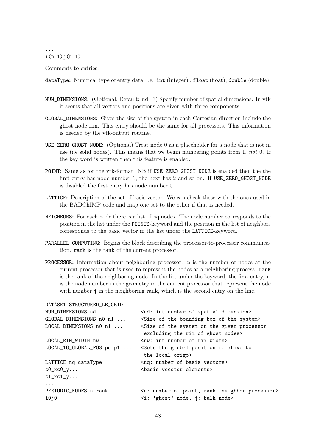#### ...  $i(n-1)$  $j(n-1)$

Comments to entries:

dataType: Numrical type of entry data, i.e. int (integer) , float (float), double (double), ...

- NUM\_DIMENSIONS: (Optional, Default: nd=3) Specify number of spatial dimensions. In vtk it seems that all vectors and positions are given with three components.
- GLOBAL\_DIMENSIONS: Gives the size of the system in each Cartesian direction include the ghost node rim. This entry should be the same for all processors. This information is needed by the vtk-output routine.
- USE\_ZERO\_GHOST\_NODE: (Optional) Treat node 0 as a placeholder for a node that is not in use (i.e solid nodes). This means that we begin numbering points from 1, not 0. If the key word is written then this feature is enabled.
- POINT: Same as for the vtk-format. NB if USE\_ZERO\_GHOST\_NODE is enabled then the the first entry has node number 1, the next has 2 and so on. If USE\_ZERO\_GHOST\_NODE is disabled the first entry has node number 0.
- LATTICE: Description of the set of basis vector. We can check these with the ones used in the BADChIMP code and map one set to the other if that is needed.
- NEIGHBORS: For each node there is a list of nq nodes. The node number corresponds to the position in the list under the POINTS-keyword and the position in the list of neighbors corresponds to the basic vector in the list under the LATTICE-keyword.
- PARALLEL\_COMPUTING: Begins the block describing the processor-to-processor communication. rank is the rank of the current processor.
- PROCESSOR: Information about neighboring processor. n is the number of nodes at the current processor that is used to represent the nodes at a neighboring process. rank is the rank of the neighboring node. In the list under the keyword, the first entry, i, is the node number in the geometry in the current processor that represent the node with number j in the neighboring rank, which is the second entry on the line.

| DATASET STRUCTURED_LB_GRID    |                                                                                                                               |
|-------------------------------|-------------------------------------------------------------------------------------------------------------------------------|
| NUM_DIMENSIONS nd             | <nd: dimension="" int="" number="" of="" spatial=""></nd:>                                                                    |
| GLOBAL_DIMENSIONS nO n1       | <size bounding="" box="" of="" system="" the=""></size>                                                                       |
| LOCAL_DIMENSIONS n0 n1        | <size given="" of="" on="" processor<br="" system="" the="">excluding the rim of ghost nodes&gt;</size>                       |
| LOCAL RIM WIDTH nw            | $\langle$ nw: int number of rim width>                                                                                        |
| LOCAL_TO_GLOBAL_POS po p1     | <sets global="" position="" relative="" the="" to<br="">the local origo&gt;</sets>                                            |
| LATTICE nq dataType           | <nq: basis="" number="" of="" vectors=""></nq:>                                                                               |
| $c0_xc0_y$                    | <br>basis vecotor elements>                                                                                                   |
| $c1_xc1_y$                    |                                                                                                                               |
| $\cdot$                       |                                                                                                                               |
| PERIODIC_NODES n rank<br>i0j0 | <n: neighbor="" number="" of="" point,="" processor="" rank:=""><br/><i: 'ghost'="" bulk="" j:="" node="" node,=""></i:></n:> |
|                               |                                                                                                                               |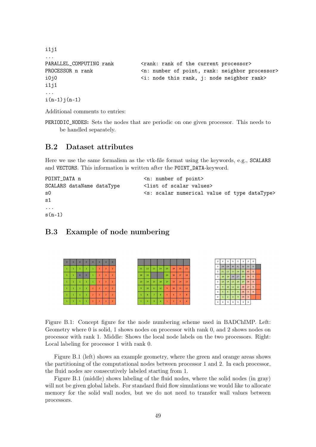```
i1j1
...
PARALLEL_COMPUTING rank \langlerank: rank of the current processor>
PROCESSOR n rank \langle n: \text{ number of point, rank: neighbor processor} \ranglei0j0 <i: node this rank, j: node neighbor rank>
i1j1
...
i(n-1)j(n-1)
```
Additional comments to entries:

PERIODIC\_NODES: Sets the nodes that are periodic on one given processor. This needs to be handled separately.

## B.2 Dataset attributes

Here we use the same formalism as the vtk-file format using the keywords, e.g., SCALARS and VECTORS. This information is written after the POINT\_DATA-keyword.

```
POINT_DATA n <n: number of point>
SCALARS dataName dataType <list of scalar values>
s0 <s: scalar numerical value of type dataType>
s<sub>1</sub>...
s(n-1)
```
## B.3 Example of node numbering



Figure B.1: Concept figure for the node numbering scheme used in BADChIMP. Left: Geometry where 0 is solid, 1 shows nodes on processor with rank 0, and 2 shows nodes on processor with rank 1. Middle: Shows the local node labels on the two processors. Right: Local labeling for processor 1 with rank 0.

Figure B.1 (left) shows an example geometry, where the green and orange areas shows the partitioning of the computational nodes between processor 1 and 2. In each processor, the fluid nodes are consecutively labeled starting from 1.

Figure B.1 (middle) shows labeling of the fluid nodes, where the solid nodes (in gray) will not be given global labels. For standard fluid flow simulations we would like to allocate memory for the solid wall nodes, but we do not need to transfer wall values between processors.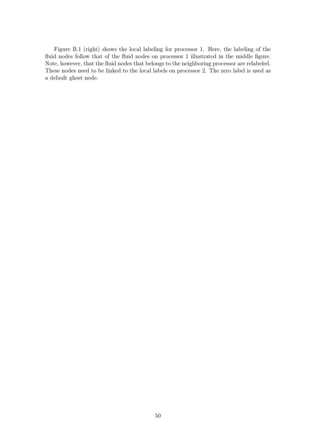Figure B.1 (right) shows the local labeling for processor 1. Here, the labeling of the fluid nodes follow that of the fluid nodes on processor 1 illustrated in the middle figure. Note, however, that the fluid nodes that belongs to the neighboring processor are relabeled. These nodes need to be linked to the local labels on processor 2. The zero label is used as a default ghost node.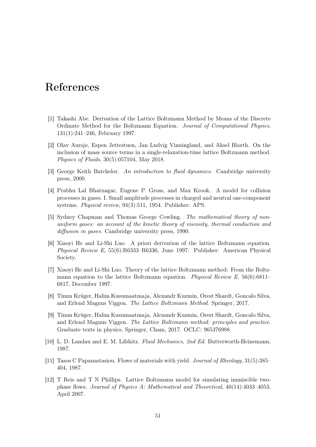# References

- [1] Takashi Abe. Derivation of the Lattice Boltzmann Method by Means of the Discrete Ordinate Method for the Boltzmann Equation. Journal of Computational Physics, 131(1):241–246, February 1997.
- [2] Olav Aursjø, Espen Jettestuen, Jan Ludvig Vinningland, and Aksel Hiorth. On the inclusion of mass source terms in a single-relaxation-time lattice Boltzmann method. Physics of Fluids, 30(5):057104, May 2018.
- [3] George Keith Batchelor. An introduction to fluid dynamics. Cambridge university press, 2000.
- [4] Prabhu Lal Bhatnagar, Eugene P. Gross, and Max Krook. A model for collision processes in gases. I. Small amplitude processes in charged and neutral one-component systems. Physical review, 94(3):511, 1954. Publisher: APS.
- [5] Sydney Chapman and Thomas George Cowling. The mathematical theory of nonuniform gases: an account of the kinetic theory of viscosity, thermal conduction and diffusion in gases. Cambridge university press, 1990.
- [6] Xiaoyi He and Li-Shi Luo. A priori derivation of the lattice Boltzmann equation. Physical Review E, 55(6):R6333–R6336, June 1997. Publisher: American Physical Society.
- [7] Xiaoyi He and Li-Shi Luo. Theory of the lattice Boltzmann method: From the Boltzmann equation to the lattice Boltzmann equation. Physical Review E,  $56(6):6811-$ 6817, December 1997.
- [8] Timm Krüger, Halim Kusumaatmaja, Alexandr Kuzmin, Orest Shardt, Goncalo Silva, and Erlend Magnus Viggen. The Lattice Boltzmann Method. Springer, 2017.
- [9] Timm Krüger, Halim Kusumaatmaja, Alexandr Kuzmin, Orest Shardt, Goncalo Silva, and Erlend Magnus Viggen. The Lattice Boltzmann method: principles and practice. Graduate texts in physics. Springer, Cham, 2017. OCLC: 965376988.
- [10] L. D. Landau and E. M. Lifshitz. Fluid Mechanics, 2nd Ed. Butterworth-Heinemann, 1987.
- [11] Tasos C Papanastasiou. Flows of materials with yield. Journal of Rheology, 31(5):385– 404, 1987.
- [12] T Reis and T N Phillips. Lattice Boltzmann model for simulating immiscible twophase flows. Journal of Physics A: Mathematical and Theoretical, 40(14):4033–4053, April 2007.